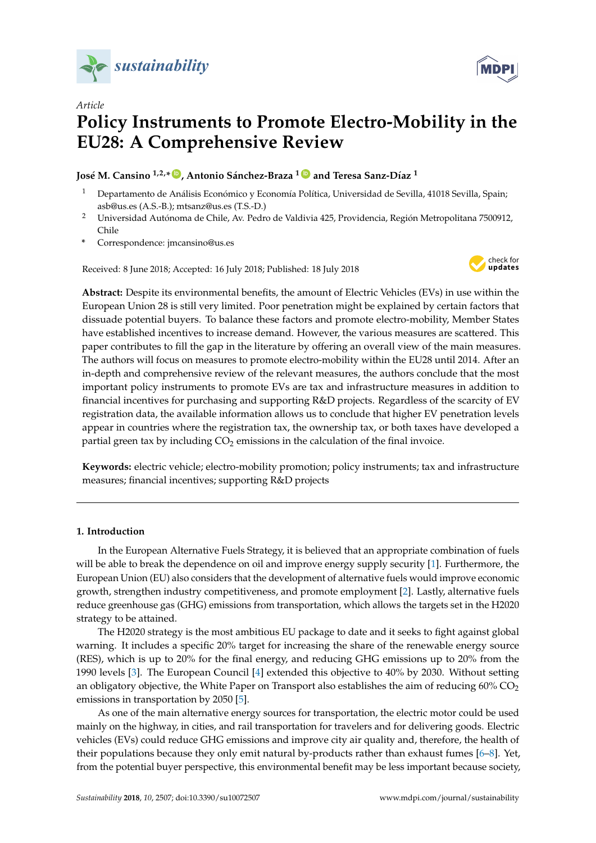

*Article*





# **Policy Instruments to Promote Electro-Mobility in the EU28: A Comprehensive Review**

**José M. Cansino 1,2,\* [ID](https://orcid.org/0000-0003-1087-5399) , Antonio Sánchez-Braza <sup>1</sup> [ID](https://orcid.org/0000-0002-7573-8312) and Teresa Sanz-Díaz <sup>1</sup>**

- <sup>1</sup> Departamento de Análisis Económico y Economía Política, Universidad de Sevilla, 41018 Sevilla, Spain; asb@us.es (A.S.-B.); mtsanz@us.es (T.S.-D.)
- <sup>2</sup> Universidad Autónoma de Chile, Av. Pedro de Valdivia 425, Providencia, Región Metropolitana 7500912, Chile
- **\*** Correspondence: jmcansino@us.es

Received: 8 June 2018; Accepted: 16 July 2018; Published: 18 July 2018



**Abstract:** Despite its environmental benefits, the amount of Electric Vehicles (EVs) in use within the European Union 28 is still very limited. Poor penetration might be explained by certain factors that dissuade potential buyers. To balance these factors and promote electro-mobility, Member States have established incentives to increase demand. However, the various measures are scattered. This paper contributes to fill the gap in the literature by offering an overall view of the main measures. The authors will focus on measures to promote electro-mobility within the EU28 until 2014. After an in-depth and comprehensive review of the relevant measures, the authors conclude that the most important policy instruments to promote EVs are tax and infrastructure measures in addition to financial incentives for purchasing and supporting R&D projects. Regardless of the scarcity of EV registration data, the available information allows us to conclude that higher EV penetration levels appear in countries where the registration tax, the ownership tax, or both taxes have developed a partial green tax by including  $CO<sub>2</sub>$  emissions in the calculation of the final invoice.

**Keywords:** electric vehicle; electro-mobility promotion; policy instruments; tax and infrastructure measures; financial incentives; supporting R&D projects

# **1. Introduction**

In the European Alternative Fuels Strategy, it is believed that an appropriate combination of fuels will be able to break the dependence on oil and improve energy supply security [\[1\]](#page-21-0). Furthermore, the European Union (EU) also considers that the development of alternative fuels would improve economic growth, strengthen industry competitiveness, and promote employment [\[2\]](#page-21-1). Lastly, alternative fuels reduce greenhouse gas (GHG) emissions from transportation, which allows the targets set in the H2020 strategy to be attained.

The H2020 strategy is the most ambitious EU package to date and it seeks to fight against global warning. It includes a specific 20% target for increasing the share of the renewable energy source (RES), which is up to 20% for the final energy, and reducing GHG emissions up to 20% from the 1990 levels [\[3\]](#page-21-2). The European Council [\[4\]](#page-21-3) extended this objective to 40% by 2030. Without setting an obligatory objective, the White Paper on Transport also establishes the aim of reducing  $60\%$  CO<sub>2</sub> emissions in transportation by 2050 [\[5\]](#page-22-0).

As one of the main alternative energy sources for transportation, the electric motor could be used mainly on the highway, in cities, and rail transportation for travelers and for delivering goods. Electric vehicles (EVs) could reduce GHG emissions and improve city air quality and, therefore, the health of their populations because they only emit natural by-products rather than exhaust fumes [\[6–](#page-22-1)[8\]](#page-22-2). Yet, from the potential buyer perspective, this environmental benefit may be less important because society,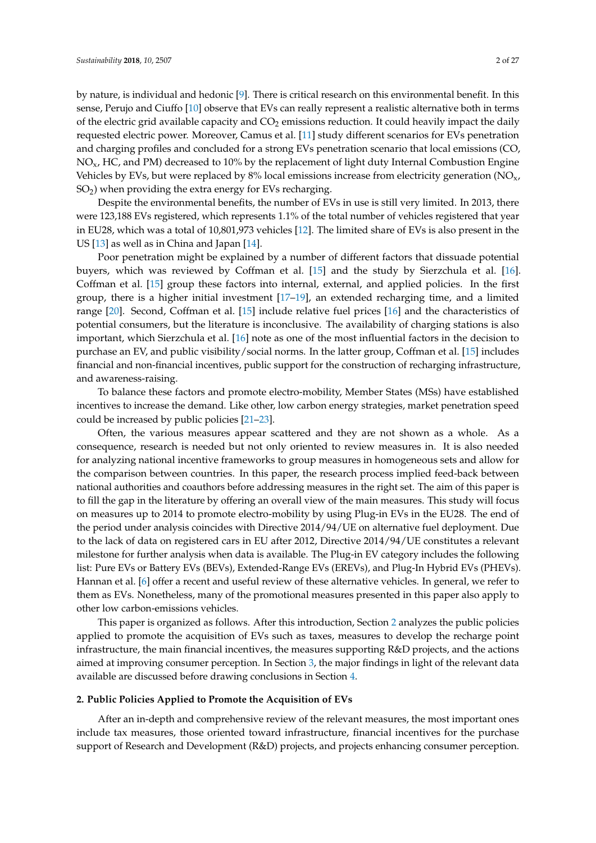by nature, is individual and hedonic [\[9\]](#page-22-3). There is critical research on this environmental benefit. In this sense, Perujo and Ciuffo [\[10\]](#page-22-4) observe that EVs can really represent a realistic alternative both in terms of the electric grid available capacity and  $CO<sub>2</sub>$  emissions reduction. It could heavily impact the daily requested electric power. Moreover, Camus et al. [\[11\]](#page-22-5) study different scenarios for EVs penetration and charging profiles and concluded for a strong EVs penetration scenario that local emissions (CO,  $NO<sub>x</sub>$ , HC, and PM) decreased to 10% by the replacement of light duty Internal Combustion Engine Vehicles by EVs, but were replaced by 8% local emissions increase from electricity generation ( $NO<sub>x</sub>$ , SO2) when providing the extra energy for EVs recharging.

Despite the environmental benefits, the number of EVs in use is still very limited. In 2013, there were 123,188 EVs registered, which represents 1.1% of the total number of vehicles registered that year in EU28, which was a total of 10,801,973 vehicles [\[12\]](#page-22-6). The limited share of EVs is also present in the US [\[13\]](#page-22-7) as well as in China and Japan [\[14\]](#page-22-8).

Poor penetration might be explained by a number of different factors that dissuade potential buyers, which was reviewed by Coffman et al. [\[15\]](#page-22-9) and the study by Sierzchula et al. [\[16\]](#page-22-10). Coffman et al. [\[15\]](#page-22-9) group these factors into internal, external, and applied policies. In the first group, there is a higher initial investment [\[17](#page-22-11)[–19\]](#page-22-12), an extended recharging time, and a limited range [\[20\]](#page-22-13). Second, Coffman et al. [\[15\]](#page-22-9) include relative fuel prices [\[16\]](#page-22-10) and the characteristics of potential consumers, but the literature is inconclusive. The availability of charging stations is also important, which Sierzchula et al. [\[16\]](#page-22-10) note as one of the most influential factors in the decision to purchase an EV, and public visibility/social norms. In the latter group, Coffman et al. [\[15\]](#page-22-9) includes financial and non-financial incentives, public support for the construction of recharging infrastructure, and awareness-raising.

To balance these factors and promote electro-mobility, Member States (MSs) have established incentives to increase the demand. Like other, low carbon energy strategies, market penetration speed could be increased by public policies [\[21–](#page-22-14)[23\]](#page-22-15).

Often, the various measures appear scattered and they are not shown as a whole. As a consequence, research is needed but not only oriented to review measures in. It is also needed for analyzing national incentive frameworks to group measures in homogeneous sets and allow for the comparison between countries. In this paper, the research process implied feed-back between national authorities and coauthors before addressing measures in the right set. The aim of this paper is to fill the gap in the literature by offering an overall view of the main measures. This study will focus on measures up to 2014 to promote electro-mobility by using Plug-in EVs in the EU28. The end of the period under analysis coincides with Directive 2014/94/UE on alternative fuel deployment. Due to the lack of data on registered cars in EU after 2012, Directive 2014/94/UE constitutes a relevant milestone for further analysis when data is available. The Plug-in EV category includes the following list: Pure EVs or Battery EVs (BEVs), Extended-Range EVs (EREVs), and Plug-In Hybrid EVs (PHEVs). Hannan et al. [\[6\]](#page-22-1) offer a recent and useful review of these alternative vehicles. In general, we refer to them as EVs. Nonetheless, many of the promotional measures presented in this paper also apply to other low carbon-emissions vehicles.

This paper is organized as follows. After this introduction, Section [2](#page-1-0) analyzes the public policies applied to promote the acquisition of EVs such as taxes, measures to develop the recharge point infrastructure, the main financial incentives, the measures supporting R&D projects, and the actions aimed at improving consumer perception. In Section [3,](#page-17-0) the major findings in light of the relevant data available are discussed before drawing conclusions in Section [4.](#page-20-0)

### <span id="page-1-0"></span>**2. Public Policies Applied to Promote the Acquisition of EVs**

After an in-depth and comprehensive review of the relevant measures, the most important ones include tax measures, those oriented toward infrastructure, financial incentives for the purchase support of Research and Development (R&D) projects, and projects enhancing consumer perception.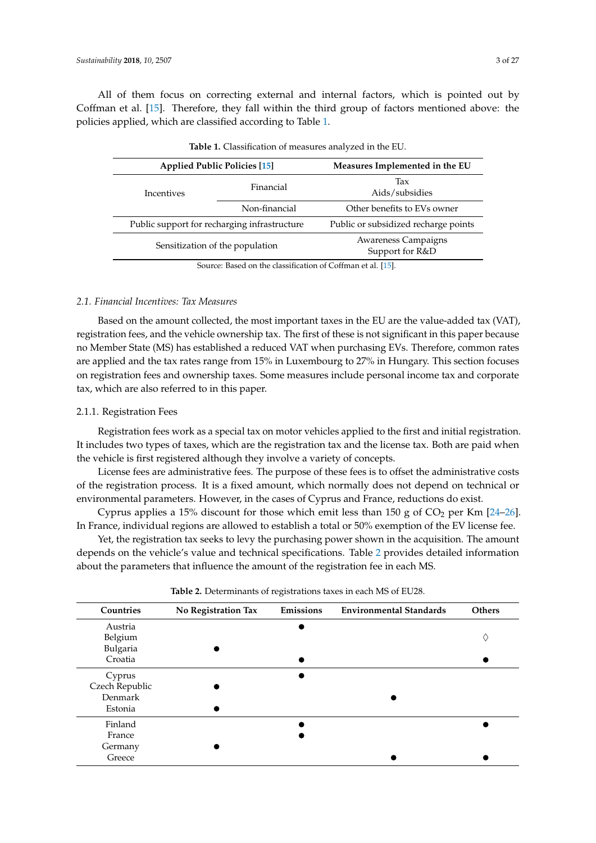All of them focus on correcting external and internal factors, which is pointed out by Coffman et al. [\[15\]](#page-22-9). Therefore, they fall within the third group of factors mentioned above: the policies applied, which are classified according to Table [1.](#page-2-0)

<span id="page-2-0"></span>

|                                              | <b>Applied Public Policies [15]</b> | Measures Implemented in the EU         |  |  |
|----------------------------------------------|-------------------------------------|----------------------------------------|--|--|
| Incentives                                   | Financial                           | Tax<br>Aids/subsidies                  |  |  |
|                                              | Non-financial                       | Other benefits to EVs owner            |  |  |
| Public support for recharging infrastructure |                                     | Public or subsidized recharge points   |  |  |
| Sensitization of the population              |                                     | Awareness Campaigns<br>Support for R&D |  |  |
| $C = D - 1 - (1 - 1 - 1)C + C - C + C = 1$   |                                     |                                        |  |  |

| Table 1. Classification of measures analyzed in the EU. |  |
|---------------------------------------------------------|--|
|---------------------------------------------------------|--|

Source: Based on the classification of Coffman et al. [\[15\]](#page-22-9).

# *2.1. Financial Incentives: Tax Measures*

Based on the amount collected, the most important taxes in the EU are the value-added tax (VAT), registration fees, and the vehicle ownership tax. The first of these is not significant in this paper because no Member State (MS) has established a reduced VAT when purchasing EVs. Therefore, common rates are applied and the tax rates range from 15% in Luxembourg to 27% in Hungary. This section focuses on registration fees and ownership taxes. Some measures include personal income tax and corporate tax, which are also referred to in this paper.

## 2.1.1. Registration Fees

Registration fees work as a special tax on motor vehicles applied to the first and initial registration. It includes two types of taxes, which are the registration tax and the license tax. Both are paid when the vehicle is first registered although they involve a variety of concepts.

License fees are administrative fees. The purpose of these fees is to offset the administrative costs of the registration process. It is a fixed amount, which normally does not depend on technical or environmental parameters. However, in the cases of Cyprus and France, reductions do exist.

Cyprus applies a 15% discount for those which emit less than 150 g of  $CO<sub>2</sub>$  per Km [\[24–](#page-22-16)[26\]](#page-23-0). In France, individual regions are allowed to establish a total or 50% exemption of the EV license fee.

Yet, the registration tax seeks to levy the purchasing power shown in the acquisition. The amount depends on the vehicle's value and technical specifications. Table [2](#page-2-1) provides detailed information about the parameters that influence the amount of the registration fee in each MS.

<span id="page-2-1"></span>

| Countries      | No Registration Tax | Emissions | <b>Environmental Standards</b> | <b>Others</b> |
|----------------|---------------------|-----------|--------------------------------|---------------|
| Austria        |                     |           |                                |               |
| Belgium        |                     |           |                                | ♦             |
| Bulgaria       |                     |           |                                |               |
| Croatia        |                     |           |                                |               |
| Cyprus         |                     |           |                                |               |
| Czech Republic |                     |           |                                |               |
| Denmark        |                     |           |                                |               |
| Estonia        |                     |           |                                |               |
| Finland        |                     |           |                                |               |
| France         |                     |           |                                |               |
| Germany        |                     |           |                                |               |
| Greece         |                     |           |                                |               |
|                |                     |           |                                |               |

**Table 2.** Determinants of registrations taxes in each MS of EU28.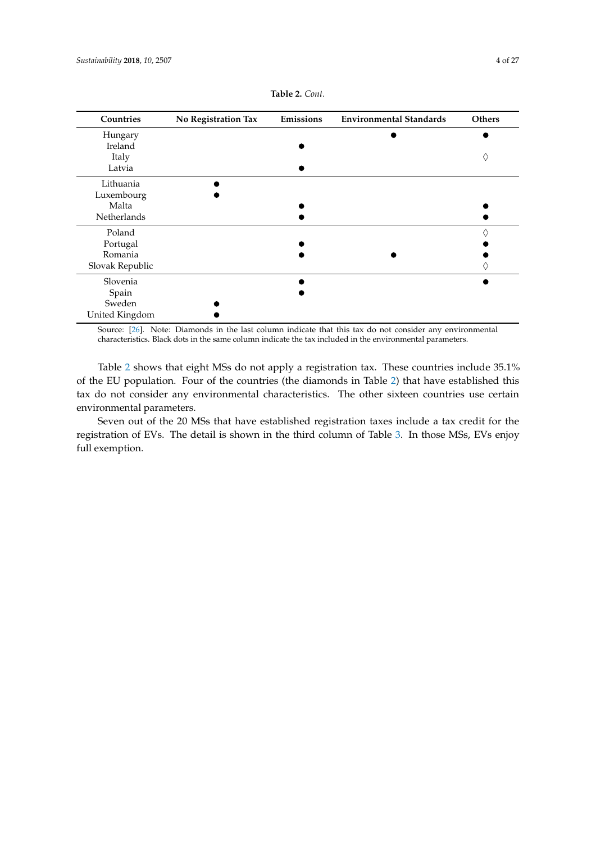| Countries       | No Registration Tax | Emissions | <b>Environmental Standards</b> | Others |
|-----------------|---------------------|-----------|--------------------------------|--------|
| Hungary         |                     |           |                                |        |
| Ireland         |                     |           |                                |        |
| Italy           |                     |           |                                |        |
| Latvia          |                     |           |                                |        |
| Lithuania       |                     |           |                                |        |
| Luxembourg      |                     |           |                                |        |
| Malta           |                     |           |                                |        |
| Netherlands     |                     |           |                                |        |
| Poland          |                     |           |                                |        |
| Portugal        |                     |           |                                |        |
| Romania         |                     |           |                                |        |
| Slovak Republic |                     |           |                                |        |
| Slovenia        |                     |           |                                |        |
| Spain           |                     |           |                                |        |
| Sweden          |                     |           |                                |        |
| United Kingdom  |                     |           |                                |        |

**Table 2.** *Cont.*

Source: [\[26\]](#page-23-0). Note: Diamonds in the last column indicate that this tax do not consider any environmental characteristics. Black dots in the same column indicate the tax included in the environmental parameters.

Table [2](#page-2-1) shows that eight MSs do not apply a registration tax. These countries include 35.1% of the EU population. Four of the countries (the diamonds in Table [2\)](#page-2-1) that have established this tax do not consider any environmental characteristics. The other sixteen countries use certain environmental parameters.

Seven out of the 20 MSs that have established registration taxes include a tax credit for the registration of EVs. The detail is shown in the third column of Table [3.](#page-4-0) In those MSs, EVs enjoy full exemption.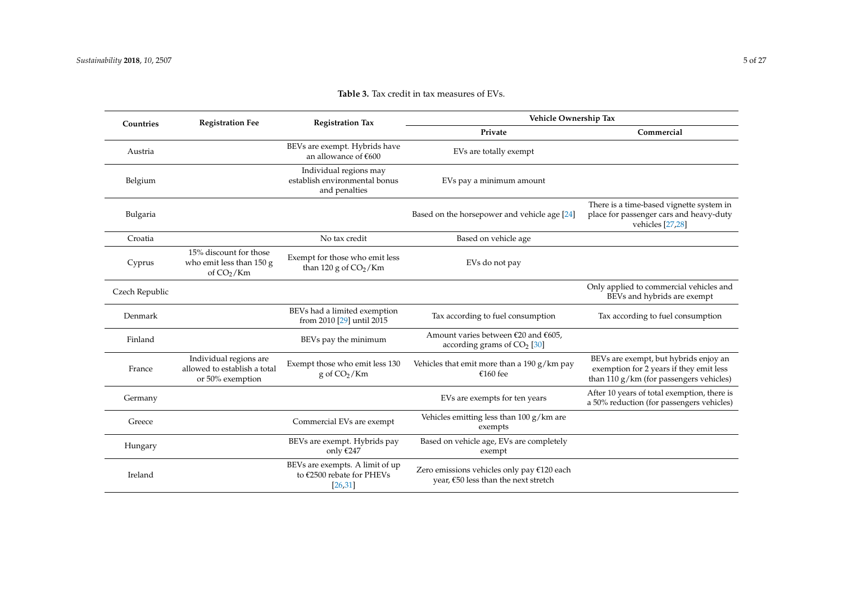<span id="page-4-0"></span>

| Countries      | <b>Registration Fee</b>                                                    | <b>Registration Tax</b>                                                  | Vehicle Ownership Tax                                                              |                                                                                                                               |
|----------------|----------------------------------------------------------------------------|--------------------------------------------------------------------------|------------------------------------------------------------------------------------|-------------------------------------------------------------------------------------------------------------------------------|
|                |                                                                            |                                                                          | Private                                                                            | Commercial                                                                                                                    |
| Austria        |                                                                            | BEVs are exempt. Hybrids have<br>an allowance of €600                    | EVs are totally exempt                                                             |                                                                                                                               |
| Belgium        |                                                                            | Individual regions may<br>establish environmental bonus<br>and penalties | EVs pay a minimum amount                                                           |                                                                                                                               |
| Bulgaria       |                                                                            |                                                                          | Based on the horsepower and vehicle age [24]                                       | There is a time-based vignette system in<br>place for passenger cars and heavy-duty<br>vehicles [27,28]                       |
| Croatia        |                                                                            | No tax credit                                                            | Based on vehicle age                                                               |                                                                                                                               |
| Cyprus         | 15% discount for those<br>who emit less than 150 g<br>of $CO2/Km$          | Exempt for those who emit less<br>than 120 g of $CO2/Km$                 | EVs do not pay                                                                     |                                                                                                                               |
| Czech Republic |                                                                            |                                                                          |                                                                                    | Only applied to commercial vehicles and<br>BEVs and hybrids are exempt                                                        |
| Denmark        |                                                                            | BEVs had a limited exemption<br>from 2010 [29] until 2015                | Tax according to fuel consumption                                                  | Tax according to fuel consumption                                                                                             |
| Finland        |                                                                            | BEVs pay the minimum                                                     | Amount varies between $£20$ and $£605$ ,<br>according grams of $CO2$ [30]          |                                                                                                                               |
| France         | Individual regions are<br>allowed to establish a total<br>or 50% exemption | Exempt those who emit less 130<br>$g \text{ of } CO_2/Km$                | Vehicles that emit more than a 190 $g/km$ pay<br>€160 fee                          | BEVs are exempt, but hybrids enjoy an<br>exemption for 2 years if they emit less<br>than $110 g/km$ (for passengers vehicles) |
| Germany        |                                                                            |                                                                          | EVs are exempts for ten years                                                      | After 10 years of total exemption, there is<br>a 50% reduction (for passengers vehicles)                                      |
| Greece         |                                                                            | Commercial EVs are exempt                                                | Vehicles emitting less than $100 g/km$ are<br>exempts                              |                                                                                                                               |
| Hungary        |                                                                            | BEVs are exempt. Hybrids pay<br>only $€247$                              | Based on vehicle age, EVs are completely<br>exempt                                 |                                                                                                                               |
| Ireland        |                                                                            | BEVs are exempts. A limit of up<br>to €2500 rebate for PHEVs<br>[26, 31] | Zero emissions vehicles only pay €120 each<br>year, €50 less than the next stretch |                                                                                                                               |

# **Table 3.** Tax credit in tax measures of EVs.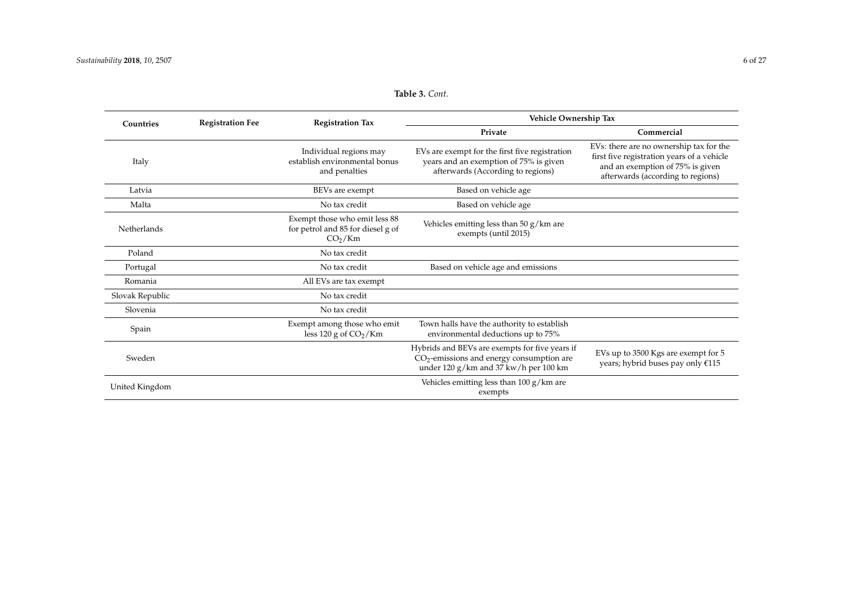| Countries       | <b>Registration Fee</b> | <b>Registration Tax</b>                                                                   | Vehicle Ownership Tax                                                                                                                                                                                              |                                                                                                                                                                |  |  |
|-----------------|-------------------------|-------------------------------------------------------------------------------------------|--------------------------------------------------------------------------------------------------------------------------------------------------------------------------------------------------------------------|----------------------------------------------------------------------------------------------------------------------------------------------------------------|--|--|
|                 |                         |                                                                                           | Private                                                                                                                                                                                                            | Commercial                                                                                                                                                     |  |  |
| Italy           |                         | Individual regions may<br>establish environmental bonus<br>and penalties                  | EVs are exempt for the first five registration<br>years and an exemption of 75% is given<br>afterwards (According to regions)                                                                                      | EVs: there are no ownership tax for the<br>first five registration years of a vehicle<br>and an exemption of 75% is given<br>afterwards (according to regions) |  |  |
| Latvia          |                         | BEVs are exempt                                                                           | Based on vehicle age                                                                                                                                                                                               |                                                                                                                                                                |  |  |
| Malta           |                         | No tax credit                                                                             | Based on vehicle age                                                                                                                                                                                               |                                                                                                                                                                |  |  |
| Netherlands     |                         | Exempt those who emit less 88<br>for petrol and 85 for diesel g of<br>CO <sub>2</sub> /Km | Vehicles emitting less than $50 g/km$ are<br>exempts (until 2015)                                                                                                                                                  |                                                                                                                                                                |  |  |
| Poland          |                         | No tax credit                                                                             |                                                                                                                                                                                                                    |                                                                                                                                                                |  |  |
| Portugal        |                         | No tax credit                                                                             | Based on vehicle age and emissions                                                                                                                                                                                 |                                                                                                                                                                |  |  |
| Romania         |                         | All EVs are tax exempt                                                                    |                                                                                                                                                                                                                    |                                                                                                                                                                |  |  |
| Slovak Republic |                         | No tax credit                                                                             |                                                                                                                                                                                                                    |                                                                                                                                                                |  |  |
| Slovenia        |                         | No tax credit                                                                             |                                                                                                                                                                                                                    |                                                                                                                                                                |  |  |
| Spain           |                         | Exempt among those who emit<br>less 120 g of $CO2/Km$                                     | Town halls have the authority to establish<br>environmental deductions up to 75%                                                                                                                                   |                                                                                                                                                                |  |  |
| Sweden          |                         |                                                                                           | Hybrids and BEVs are exempts for five years if<br>EVs up to 3500 Kgs are exempt for 5<br>$CO2$ -emissions and energy consumption are<br>years; hybrid buses pay only €115<br>under 120 g/km and 37 kw/h per 100 km |                                                                                                                                                                |  |  |
| United Kingdom  |                         |                                                                                           | Vehicles emitting less than $100 g/km$ are<br>exempts                                                                                                                                                              |                                                                                                                                                                |  |  |

# **Table 3.** *Cont.*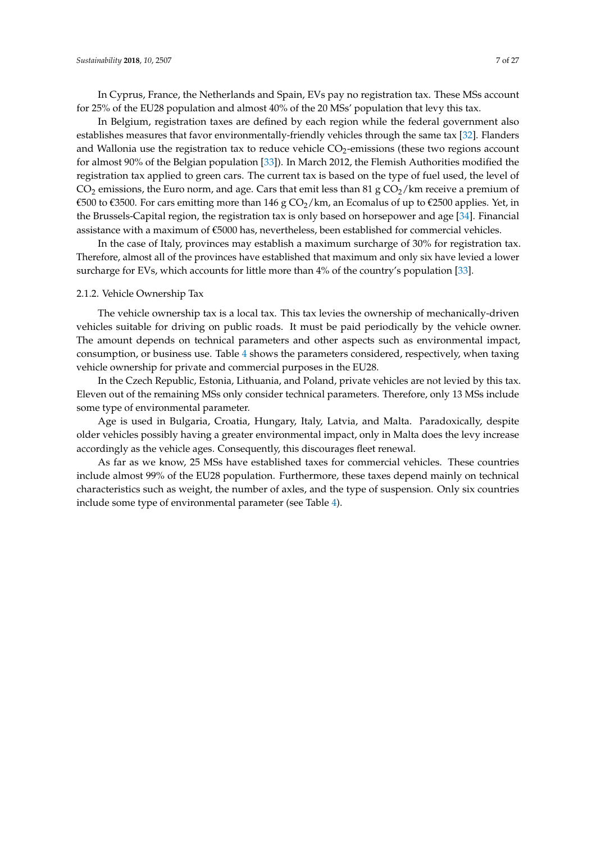In Cyprus, France, the Netherlands and Spain, EVs pay no registration tax. These MSs account for 25% of the EU28 population and almost 40% of the 20 MSs' population that levy this tax.

In Belgium, registration taxes are defined by each region while the federal government also establishes measures that favor environmentally-friendly vehicles through the same tax [\[32\]](#page-23-7). Flanders and Wallonia use the registration tax to reduce vehicle  $CO<sub>2</sub>$ -emissions (these two regions account for almost 90% of the Belgian population [\[33\]](#page-23-8)). In March 2012, the Flemish Authorities modified the registration tax applied to green cars. The current tax is based on the type of fuel used, the level of  $CO<sub>2</sub>$  emissions, the Euro norm, and age. Cars that emit less than 81 g  $CO<sub>2</sub>/km$  receive a premium of €500 to €3500. For cars emitting more than 146 g CO<sub>2</sub>/km, an Ecomalus of up to €2500 applies. Yet, in the Brussels-Capital region, the registration tax is only based on horsepower and age [\[34\]](#page-23-9). Financial assistance with a maximum of €5000 has, nevertheless, been established for commercial vehicles.

In the case of Italy, provinces may establish a maximum surcharge of 30% for registration tax. Therefore, almost all of the provinces have established that maximum and only six have levied a lower surcharge for EVs, which accounts for little more than 4% of the country's population [\[33\]](#page-23-8).

#### 2.1.2. Vehicle Ownership Tax

The vehicle ownership tax is a local tax. This tax levies the ownership of mechanically-driven vehicles suitable for driving on public roads. It must be paid periodically by the vehicle owner. The amount depends on technical parameters and other aspects such as environmental impact, consumption, or business use. Table [4](#page-7-0) shows the parameters considered, respectively, when taxing vehicle ownership for private and commercial purposes in the EU28.

In the Czech Republic, Estonia, Lithuania, and Poland, private vehicles are not levied by this tax. Eleven out of the remaining MSs only consider technical parameters. Therefore, only 13 MSs include some type of environmental parameter.

Age is used in Bulgaria, Croatia, Hungary, Italy, Latvia, and Malta. Paradoxically, despite older vehicles possibly having a greater environmental impact, only in Malta does the levy increase accordingly as the vehicle ages. Consequently, this discourages fleet renewal.

As far as we know, 25 MSs have established taxes for commercial vehicles. These countries include almost 99% of the EU28 population. Furthermore, these taxes depend mainly on technical characteristics such as weight, the number of axles, and the type of suspension. Only six countries include some type of environmental parameter (see Table [4\)](#page-7-0).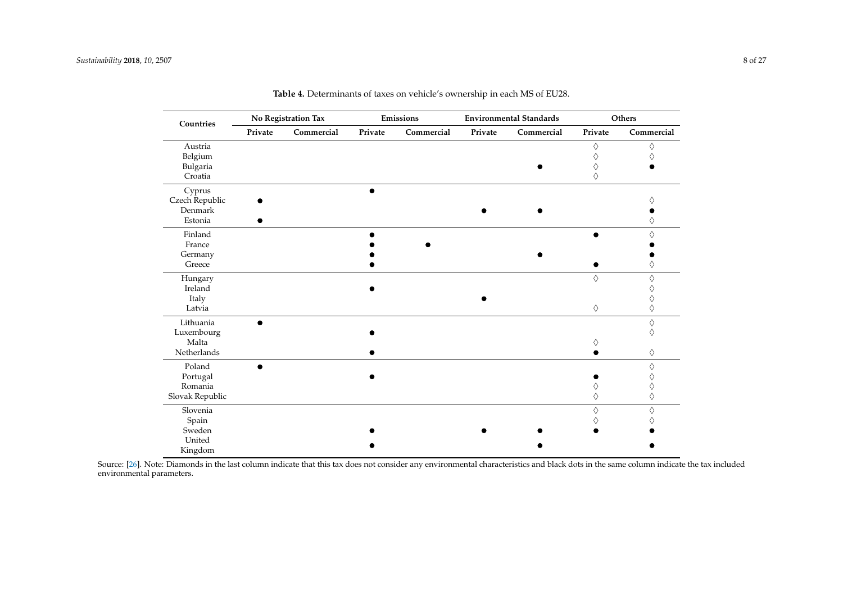| Countries       |         | No Registration Tax |         | Emissions  |         | <b>Environmental Standards</b> |         | Others     |
|-----------------|---------|---------------------|---------|------------|---------|--------------------------------|---------|------------|
|                 | Private | Commercial          | Private | Commercial | Private | Commercial                     | Private | Commercial |
| Austria         |         |                     |         |            |         |                                | ♦       | ♦          |
| Belgium         |         |                     |         |            |         |                                | ♦       | ♦          |
| Bulgaria        |         |                     |         |            |         |                                | ♦       |            |
| Croatia         |         |                     |         |            |         |                                | ♦       |            |
| Cyprus          |         |                     |         |            |         |                                |         |            |
| Czech Republic  |         |                     |         |            |         |                                |         |            |
| Denmark         |         |                     |         |            |         |                                |         |            |
| Estonia         |         |                     |         |            |         |                                |         |            |
| Finland         |         |                     |         |            |         |                                |         | ♦          |
| France          |         |                     |         |            |         |                                |         |            |
| Germany         |         |                     |         |            |         |                                |         |            |
| Greece          |         |                     |         |            |         |                                |         |            |
| Hungary         |         |                     |         |            |         |                                | ♦       | ♦          |
| Ireland         |         |                     |         |            |         |                                |         |            |
| Italy           |         |                     |         |            |         |                                |         |            |
| Latvia          |         |                     |         |            |         |                                | ♦       | ♦          |
| Lithuania       |         |                     |         |            |         |                                |         | ♦          |
| Luxembourg      |         |                     |         |            |         |                                |         | ♦          |
| Malta           |         |                     |         |            |         |                                |         |            |
| Netherlands     |         |                     |         |            |         |                                |         | ♦          |
| Poland          |         |                     |         |            |         |                                |         | ♦          |
| Portugal        |         |                     |         |            |         |                                |         |            |
| Romania         |         |                     |         |            |         |                                |         |            |
| Slovak Republic |         |                     |         |            |         |                                | ♦       | ♦          |
| Slovenia        |         |                     |         |            |         |                                | ♦       | ♦          |
| Spain           |         |                     |         |            |         |                                |         |            |
| Sweden          |         |                     |         |            |         |                                |         |            |
| United          |         |                     |         |            |         |                                |         |            |
| Kingdom         |         |                     |         |            |         |                                |         |            |

**Table 4.** Determinants of taxes on vehicle's ownership in each MS of EU28.

<span id="page-7-0"></span>Source: [\[26\]](#page-23-5). Note: Diamonds in the last column indicate that this tax does not consider any environmental characteristics and black dots in the same column indicate the tax included environmental parameters.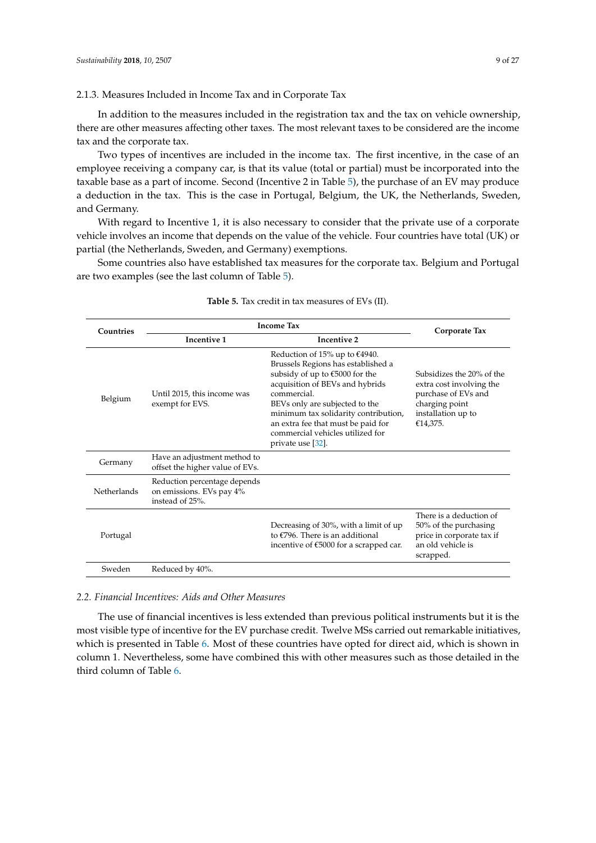## 2.1.3. Measures Included in Income Tax and in Corporate Tax

In addition to the measures included in the registration tax and the tax on vehicle ownership, there are other measures affecting other taxes. The most relevant taxes to be considered are the income tax and the corporate tax.

Two types of incentives are included in the income tax. The first incentive, in the case of an employee receiving a company car, is that its value (total or partial) must be incorporated into the taxable base as a part of income. Second (Incentive 2 in Table [5\)](#page-8-0), the purchase of an EV may produce a deduction in the tax. This is the case in Portugal, Belgium, the UK, the Netherlands, Sweden, and Germany.

With regard to Incentive 1, it is also necessary to consider that the private use of a corporate vehicle involves an income that depends on the value of the vehicle. Four countries have total (UK) or partial (the Netherlands, Sweden, and Germany) exemptions.

Some countries also have established tax measures for the corporate tax. Belgium and Portugal are two examples (see the last column of Table [5\)](#page-8-0).

<span id="page-8-0"></span>

| Countries   | <b>Income Tax</b>                                                           | Corporate Tax                                                                                                                                                                                                                                                                                                                       |                                                                                                                                  |
|-------------|-----------------------------------------------------------------------------|-------------------------------------------------------------------------------------------------------------------------------------------------------------------------------------------------------------------------------------------------------------------------------------------------------------------------------------|----------------------------------------------------------------------------------------------------------------------------------|
|             | Incentive 1                                                                 | Incentive 2                                                                                                                                                                                                                                                                                                                         |                                                                                                                                  |
| Belgium     | Until 2015, this income was<br>exempt for EVS.                              | Reduction of 15% up to $€4940$ .<br>Brussels Regions has established a<br>subsidy of up to €5000 for the<br>acquisition of BEVs and hybrids<br>commercial.<br>BEVs only are subjected to the<br>minimum tax solidarity contribution,<br>an extra fee that must be paid for<br>commercial vehicles utilized for<br>private use [32]. | Subsidizes the 20% of the<br>extra cost involving the<br>purchase of EVs and<br>charging point<br>installation up to<br>€14,375. |
| Germany     | Have an adjustment method to<br>offset the higher value of EVs.             |                                                                                                                                                                                                                                                                                                                                     |                                                                                                                                  |
| Netherlands | Reduction percentage depends<br>on emissions. EVs pay 4%<br>instead of 25%. |                                                                                                                                                                                                                                                                                                                                     |                                                                                                                                  |
| Portugal    |                                                                             | Decreasing of 30%, with a limit of up<br>to €796. There is an additional<br>incentive of $\text{\textsterling}5000$ for a scrapped car.                                                                                                                                                                                             | There is a deduction of<br>50% of the purchasing<br>price in corporate tax if<br>an old vehicle is<br>scrapped.                  |
| Sweden      | Reduced by 40%.                                                             |                                                                                                                                                                                                                                                                                                                                     |                                                                                                                                  |

#### **Table 5.** Tax credit in tax measures of EVs (II).

# *2.2. Financial Incentives: Aids and Other Measures*

The use of financial incentives is less extended than previous political instruments but it is the most visible type of incentive for the EV purchase credit. Twelve MSs carried out remarkable initiatives, which is presented in Table [6.](#page-9-0) Most of these countries have opted for direct aid, which is shown in column 1. Nevertheless, some have combined this with other measures such as those detailed in the third column of Table [6.](#page-9-0)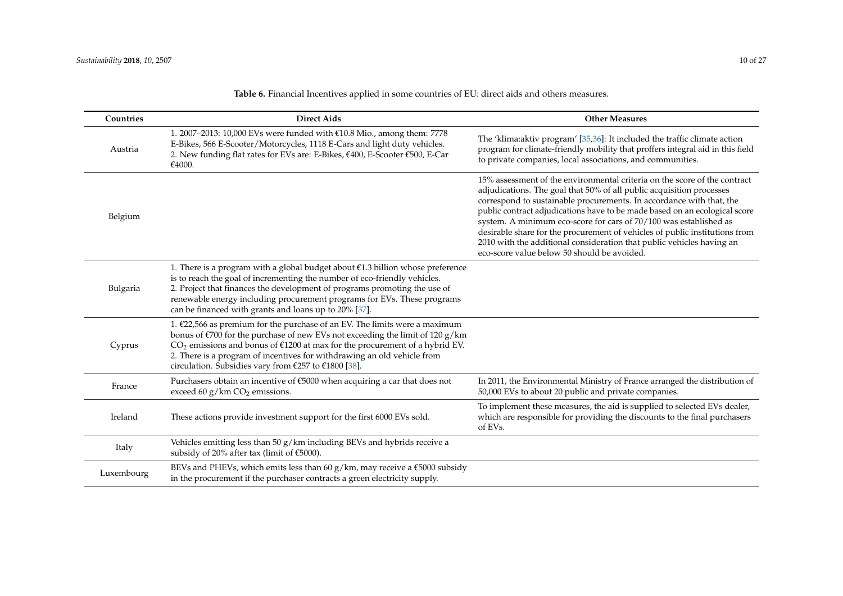<span id="page-9-0"></span>

| Countries  | <b>Direct Aids</b>                                                                                                                                                                                                                                                                                                                                                                              | <b>Other Measures</b>                                                                                                                                                                                                                                                                                                                                                                                                                                                                                                                                                               |
|------------|-------------------------------------------------------------------------------------------------------------------------------------------------------------------------------------------------------------------------------------------------------------------------------------------------------------------------------------------------------------------------------------------------|-------------------------------------------------------------------------------------------------------------------------------------------------------------------------------------------------------------------------------------------------------------------------------------------------------------------------------------------------------------------------------------------------------------------------------------------------------------------------------------------------------------------------------------------------------------------------------------|
| Austria    | 1. 2007–2013: 10,000 EVs were funded with €10.8 Mio., among them: 7778<br>E-Bikes, 566 E-Scooter/Motorcycles, 1118 E-Cars and light duty vehicles.<br>2. New funding flat rates for EVs are: E-Bikes, €400, E-Scooter €500, E-Car<br>€4000.                                                                                                                                                     | The 'klima:aktiv program' [35,36]: It included the traffic climate action<br>program for climate-friendly mobility that proffers integral aid in this field<br>to private companies, local associations, and communities.                                                                                                                                                                                                                                                                                                                                                           |
| Belgium    |                                                                                                                                                                                                                                                                                                                                                                                                 | 15% assessment of the environmental criteria on the score of the contract<br>adjudications. The goal that 50% of all public acquisition processes<br>correspond to sustainable procurements. In accordance with that, the<br>public contract adjudications have to be made based on an ecological score<br>system. A minimum eco-score for cars of 70/100 was established as<br>desirable share for the procurement of vehicles of public institutions from<br>2010 with the additional consideration that public vehicles having an<br>eco-score value below 50 should be avoided. |
| Bulgaria   | 1. There is a program with a global budget about $\epsilon$ 1.3 billion whose preference<br>is to reach the goal of incrementing the number of eco-friendly vehicles.<br>2. Project that finances the development of programs promoting the use of<br>renewable energy including procurement programs for EVs. These programs<br>can be financed with grants and loans up to 20% [37].          |                                                                                                                                                                                                                                                                                                                                                                                                                                                                                                                                                                                     |
| Cyprus     | 1. $£22,566$ as premium for the purchase of an EV. The limits were a maximum<br>bonus of $\epsilon$ 700 for the purchase of new EVs not exceeding the limit of 120 g/km<br>$CO2$ emissions and bonus of €1200 at max for the procurement of a hybrid EV.<br>2. There is a program of incentives for withdrawing an old vehicle from<br>circulation. Subsidies vary from $£257$ to $£1800$ [38]. |                                                                                                                                                                                                                                                                                                                                                                                                                                                                                                                                                                                     |
| France     | Purchasers obtain an incentive of $\epsilon$ 5000 when acquiring a car that does not<br>exceed 60 $g/km$ CO <sub>2</sub> emissions.                                                                                                                                                                                                                                                             | In 2011, the Environmental Ministry of France arranged the distribution of<br>50,000 EVs to about 20 public and private companies.                                                                                                                                                                                                                                                                                                                                                                                                                                                  |
| Ireland    | These actions provide investment support for the first 6000 EVs sold.                                                                                                                                                                                                                                                                                                                           | To implement these measures, the aid is supplied to selected EVs dealer,<br>which are responsible for providing the discounts to the final purchasers<br>of EVs.                                                                                                                                                                                                                                                                                                                                                                                                                    |
| Italy      | Vehicles emitting less than 50 g/km including BEVs and hybrids receive a<br>subsidy of 20% after tax (limit of €5000).                                                                                                                                                                                                                                                                          |                                                                                                                                                                                                                                                                                                                                                                                                                                                                                                                                                                                     |
| Luxembourg | BEVs and PHEVs, which emits less than 60 g/km, may receive a $€5000$ subsidy<br>in the procurement if the purchaser contracts a green electricity supply.                                                                                                                                                                                                                                       |                                                                                                                                                                                                                                                                                                                                                                                                                                                                                                                                                                                     |

**Table 6.** Financial Incentives applied in some countries of EU: direct aids and others measures.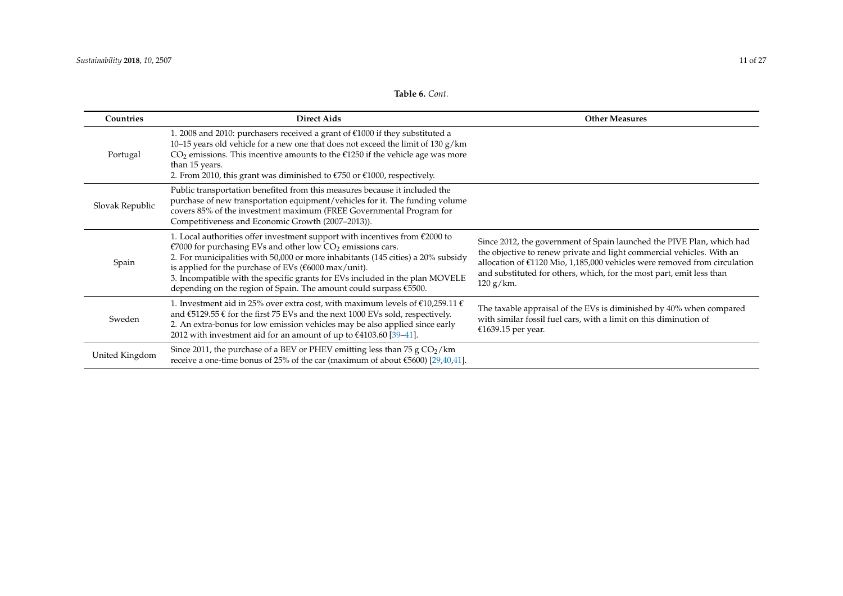| Countries       | <b>Direct Aids</b>                                                                                                                                                                                                                                                                                                                                                                                                                                                                      | <b>Other Measures</b>                                                                                                                                                                                                                                                                                                 |
|-----------------|-----------------------------------------------------------------------------------------------------------------------------------------------------------------------------------------------------------------------------------------------------------------------------------------------------------------------------------------------------------------------------------------------------------------------------------------------------------------------------------------|-----------------------------------------------------------------------------------------------------------------------------------------------------------------------------------------------------------------------------------------------------------------------------------------------------------------------|
| Portugal        | 1. 2008 and 2010: purchasers received a grant of €1000 if they substituted a<br>10-15 years old vehicle for a new one that does not exceed the limit of 130 $g/km$<br>$CO2$ emissions. This incentive amounts to the €1250 if the vehicle age was more<br>than 15 years.<br>2. From 2010, this grant was diminished to $\epsilon$ 750 or $\epsilon$ 1000, respectively.                                                                                                                 |                                                                                                                                                                                                                                                                                                                       |
| Slovak Republic | Public transportation benefited from this measures because it included the<br>purchase of new transportation equipment/vehicles for it. The funding volume<br>covers 85% of the investment maximum (FREE Governmental Program for<br>Competitiveness and Economic Growth (2007-2013)).                                                                                                                                                                                                  |                                                                                                                                                                                                                                                                                                                       |
| Spain           | 1. Local authorities offer investment support with incentives from $\text{\textsterling}2000$ to<br>€7000 for purchasing EVs and other low $CO2$ emissions cars.<br>2. For municipalities with 50,000 or more inhabitants (145 cities) a 20% subsidy<br>is applied for the purchase of EVs ( $\text{\textsterling}6000$ max/unit).<br>3. Incompatible with the specific grants for EVs included in the plan MOVELE<br>depending on the region of Spain. The amount could surpass €5500. | Since 2012, the government of Spain launched the PIVE Plan, which had<br>the objective to renew private and light commercial vehicles. With an<br>allocation of $£1120$ Mio, 1,185,000 vehicles were removed from circulation<br>and substituted for others, which, for the most part, emit less than<br>$120 g/km$ . |
| Sweden          | 1. Investment aid in 25% over extra cost, with maximum levels of $\epsilon$ 10,259.11 $\epsilon$<br>and $\text{\textsterling}5129.55 \text{ }\text{\textsterling}$ for the first 75 EVs and the next 1000 EVs sold, respectively.<br>2. An extra-bonus for low emission vehicles may be also applied since early<br>2012 with investment aid for an amount of up to $£4103.60$ [39-41].                                                                                                 | The taxable appraisal of the EVs is diminished by 40% when compared<br>with similar fossil fuel cars, with a limit on this diminution of<br>€1639.15 per year.                                                                                                                                                        |
| United Kingdom  | Since 2011, the purchase of a BEV or PHEV emitting less than 75 $g \text{CO}_2$ /km<br>receive a one-time bonus of 25% of the car (maximum of about $\epsilon$ 5600) [29,40,41].                                                                                                                                                                                                                                                                                                        |                                                                                                                                                                                                                                                                                                                       |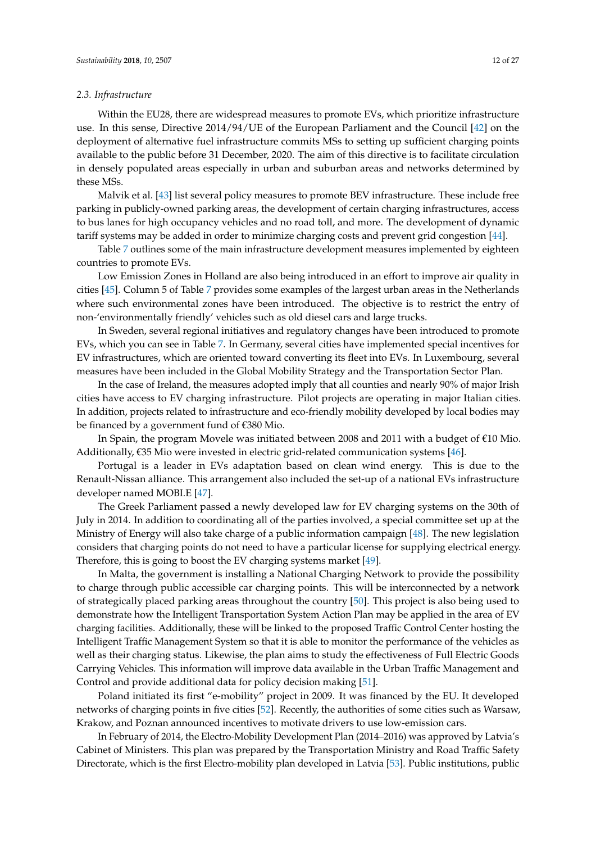## *2.3. Infrastructure*

Within the EU28, there are widespread measures to promote EVs, which prioritize infrastructure use. In this sense, Directive 2014/94/UE of the European Parliament and the Council [\[42\]](#page-24-2) on the deployment of alternative fuel infrastructure commits MSs to setting up sufficient charging points available to the public before 31 December, 2020. The aim of this directive is to facilitate circulation in densely populated areas especially in urban and suburban areas and networks determined by these MSs.

Malvik et al. [\[43\]](#page-24-3) list several policy measures to promote BEV infrastructure. These include free parking in publicly-owned parking areas, the development of certain charging infrastructures, access to bus lanes for high occupancy vehicles and no road toll, and more. The development of dynamic tariff systems may be added in order to minimize charging costs and prevent grid congestion [\[44\]](#page-24-4).

Table [7](#page-13-0) outlines some of the main infrastructure development measures implemented by eighteen countries to promote EVs.

Low Emission Zones in Holland are also being introduced in an effort to improve air quality in cities [\[45\]](#page-24-5). Column 5 of Table [7](#page-13-0) provides some examples of the largest urban areas in the Netherlands where such environmental zones have been introduced. The objective is to restrict the entry of non-'environmentally friendly' vehicles such as old diesel cars and large trucks.

In Sweden, several regional initiatives and regulatory changes have been introduced to promote EVs, which you can see in Table [7.](#page-13-0) In Germany, several cities have implemented special incentives for EV infrastructures, which are oriented toward converting its fleet into EVs. In Luxembourg, several measures have been included in the Global Mobility Strategy and the Transportation Sector Plan.

In the case of Ireland, the measures adopted imply that all counties and nearly 90% of major Irish cities have access to EV charging infrastructure. Pilot projects are operating in major Italian cities. In addition, projects related to infrastructure and eco-friendly mobility developed by local bodies may be financed by a government fund of €380 Mio.

In Spain, the program Movele was initiated between 2008 and 2011 with a budget of €10 Mio. Additionally, €35 Mio were invested in electric grid-related communication systems [\[46\]](#page-24-6).

Portugal is a leader in EVs adaptation based on clean wind energy. This is due to the Renault-Nissan alliance. This arrangement also included the set-up of a national EVs infrastructure developer named MOBI.E [\[47\]](#page-24-7).

The Greek Parliament passed a newly developed law for EV charging systems on the 30th of July in 2014. In addition to coordinating all of the parties involved, a special committee set up at the Ministry of Energy will also take charge of a public information campaign [\[48\]](#page-24-8). The new legislation considers that charging points do not need to have a particular license for supplying electrical energy. Therefore, this is going to boost the EV charging systems market [\[49\]](#page-24-9).

In Malta, the government is installing a National Charging Network to provide the possibility to charge through public accessible car charging points. This will be interconnected by a network of strategically placed parking areas throughout the country [\[50\]](#page-24-10). This project is also being used to demonstrate how the Intelligent Transportation System Action Plan may be applied in the area of EV charging facilities. Additionally, these will be linked to the proposed Traffic Control Center hosting the Intelligent Traffic Management System so that it is able to monitor the performance of the vehicles as well as their charging status. Likewise, the plan aims to study the effectiveness of Full Electric Goods Carrying Vehicles. This information will improve data available in the Urban Traffic Management and Control and provide additional data for policy decision making [\[51\]](#page-24-11).

Poland initiated its first "e-mobility" project in 2009. It was financed by the EU. It developed networks of charging points in five cities [\[52\]](#page-24-12). Recently, the authorities of some cities such as Warsaw, Krakow, and Poznan announced incentives to motivate drivers to use low-emission cars.

In February of 2014, the Electro-Mobility Development Plan (2014–2016) was approved by Latvia's Cabinet of Ministers. This plan was prepared by the Transportation Ministry and Road Traffic Safety Directorate, which is the first Electro-mobility plan developed in Latvia [\[53\]](#page-24-13). Public institutions, public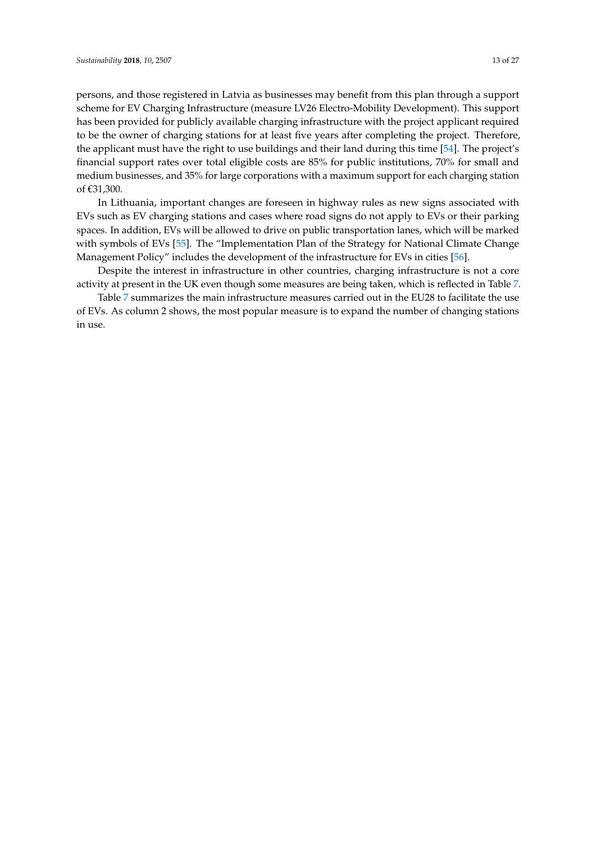persons, and those registered in Latvia as businesses may benefit from this plan through a support scheme for EV Charging Infrastructure (measure LV26 Electro-Mobility Development). This support has been provided for publicly available charging infrastructure with the project applicant required to be the owner of charging stations for at least five years after completing the project. Therefore, the applicant must have the right to use buildings and their land during this time [\[54\]](#page-24-14). The project's financial support rates over total eligible costs are 85% for public institutions, 70% for small and medium businesses, and 35% for large corporations with a maximum support for each charging station of €31,300.

In Lithuania, important changes are foreseen in highway rules as new signs associated with EVs such as EV charging stations and cases where road signs do not apply to EVs or their parking spaces. In addition, EVs will be allowed to drive on public transportation lanes, which will be marked with symbols of EVs [\[55\]](#page-24-15). The "Implementation Plan of the Strategy for National Climate Change Management Policy" includes the development of the infrastructure for EVs in cities [\[56\]](#page-25-0).

Despite the interest in infrastructure in other countries, charging infrastructure is not a core activity at present in the UK even though some measures are being taken, which is reflected in Table [7.](#page-13-0)

Table [7](#page-13-0) summarizes the main infrastructure measures carried out in the EU28 to facilitate the use of EVs. As column 2 shows, the most popular measure is to expand the number of changing stations in use.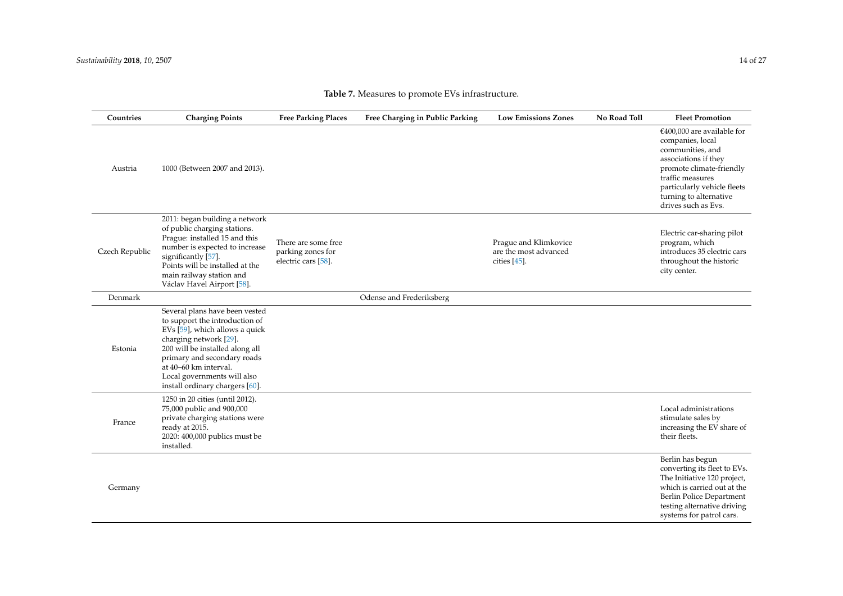<span id="page-13-0"></span>

| Countries      | <b>Charging Points</b>                                                                                                                                                                                                                                                                    | <b>Free Parking Places</b>                                      | Free Charging in Public Parking | <b>Low Emissions Zones</b>                                        | No Road Toll | <b>Fleet Promotion</b>                                                                                                                                                                                                       |
|----------------|-------------------------------------------------------------------------------------------------------------------------------------------------------------------------------------------------------------------------------------------------------------------------------------------|-----------------------------------------------------------------|---------------------------------|-------------------------------------------------------------------|--------------|------------------------------------------------------------------------------------------------------------------------------------------------------------------------------------------------------------------------------|
| Austria        | 1000 (Between 2007 and 2013).                                                                                                                                                                                                                                                             |                                                                 |                                 |                                                                   |              | $€400,000$ are available for<br>companies, local<br>communities, and<br>associations if they<br>promote climate-friendly<br>traffic measures<br>particularly vehicle fleets<br>turning to alternative<br>drives such as Evs. |
| Czech Republic | 2011: began building a network<br>of public charging stations.<br>Prague: installed 15 and this<br>number is expected to increase<br>significantly [57].<br>Points will be installed at the<br>main railway station and<br>Václav Havel Airport [58].                                     | There are some free<br>parking zones for<br>electric cars [58]. |                                 | Prague and Klimkovice<br>are the most advanced<br>cities $[45]$ . |              | Electric car-sharing pilot<br>program, which<br>introduces 35 electric cars<br>throughout the historic<br>city center.                                                                                                       |
| Denmark        |                                                                                                                                                                                                                                                                                           |                                                                 | Odense and Frederiksberg        |                                                                   |              |                                                                                                                                                                                                                              |
| Estonia        | Several plans have been vested<br>to support the introduction of<br>EVs [59], which allows a quick<br>charging network [29].<br>200 will be installed along all<br>primary and secondary roads<br>at 40–60 km interval.<br>Local governments will also<br>install ordinary chargers [60]. |                                                                 |                                 |                                                                   |              |                                                                                                                                                                                                                              |
| France         | 1250 in 20 cities (until 2012).<br>75,000 public and 900,000<br>private charging stations were<br>ready at 2015.<br>2020: 400,000 publics must be<br>installed.                                                                                                                           |                                                                 |                                 |                                                                   |              | Local administrations<br>stimulate sales by<br>increasing the EV share of<br>their fleets.                                                                                                                                   |
| Germany        |                                                                                                                                                                                                                                                                                           |                                                                 |                                 |                                                                   |              | Berlin has begun<br>converting its fleet to EVs.<br>The Initiative 120 project,<br>which is carried out at the<br>Berlin Police Department                                                                                   |

# **Table 7.** Measures to promote EVs infrastructure.

testing alternative driving systems for patrol cars.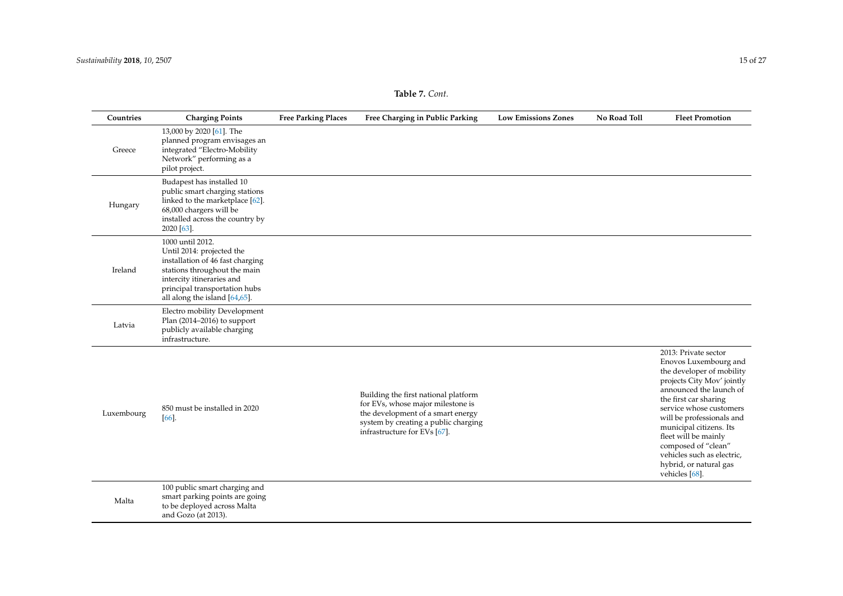| <b>Table 7.</b> Cont. |  |  |
|-----------------------|--|--|
|-----------------------|--|--|

| Countries  | <b>Charging Points</b>                                                                                                                                                                                           | <b>Free Parking Places</b> | Free Charging in Public Parking                                                                                                                                                        | <b>Low Emissions Zones</b> | No Road Toll | <b>Fleet Promotion</b>                                                                                                                                                                                                                                                                                                                                                   |
|------------|------------------------------------------------------------------------------------------------------------------------------------------------------------------------------------------------------------------|----------------------------|----------------------------------------------------------------------------------------------------------------------------------------------------------------------------------------|----------------------------|--------------|--------------------------------------------------------------------------------------------------------------------------------------------------------------------------------------------------------------------------------------------------------------------------------------------------------------------------------------------------------------------------|
| Greece     | 13,000 by 2020 [61]. The<br>planned program envisages an<br>integrated "Electro-Mobility<br>Network" performing as a<br>pilot project.                                                                           |                            |                                                                                                                                                                                        |                            |              |                                                                                                                                                                                                                                                                                                                                                                          |
| Hungary    | Budapest has installed 10<br>public smart charging stations<br>linked to the marketplace [62].<br>68,000 chargers will be<br>installed across the country by<br>2020 [63].                                       |                            |                                                                                                                                                                                        |                            |              |                                                                                                                                                                                                                                                                                                                                                                          |
| Ireland    | 1000 until 2012.<br>Until 2014: projected the<br>installation of 46 fast charging<br>stations throughout the main<br>intercity itineraries and<br>principal transportation hubs<br>all along the island [64,65]. |                            |                                                                                                                                                                                        |                            |              |                                                                                                                                                                                                                                                                                                                                                                          |
| Latvia     | Electro mobility Development<br>Plan (2014-2016) to support<br>publicly available charging<br>infrastructure.                                                                                                    |                            |                                                                                                                                                                                        |                            |              |                                                                                                                                                                                                                                                                                                                                                                          |
| Luxembourg | 850 must be installed in 2020<br>[66]                                                                                                                                                                            |                            | Building the first national platform<br>for EVs, whose major milestone is<br>the development of a smart energy<br>system by creating a public charging<br>infrastructure for EVs [67]. |                            |              | 2013: Private sector<br>Enovos Luxembourg and<br>the developer of mobility<br>projects City Mov' jointly<br>announced the launch of<br>the first car sharing<br>service whose customers<br>will be professionals and<br>municipal citizens. Its<br>fleet will be mainly<br>composed of "clean"<br>vehicles such as electric,<br>hybrid, or natural gas<br>vehicles [68]. |
| Malta      | 100 public smart charging and<br>smart parking points are going<br>to be deployed across Malta<br>and Gozo (at 2013).                                                                                            |                            |                                                                                                                                                                                        |                            |              |                                                                                                                                                                                                                                                                                                                                                                          |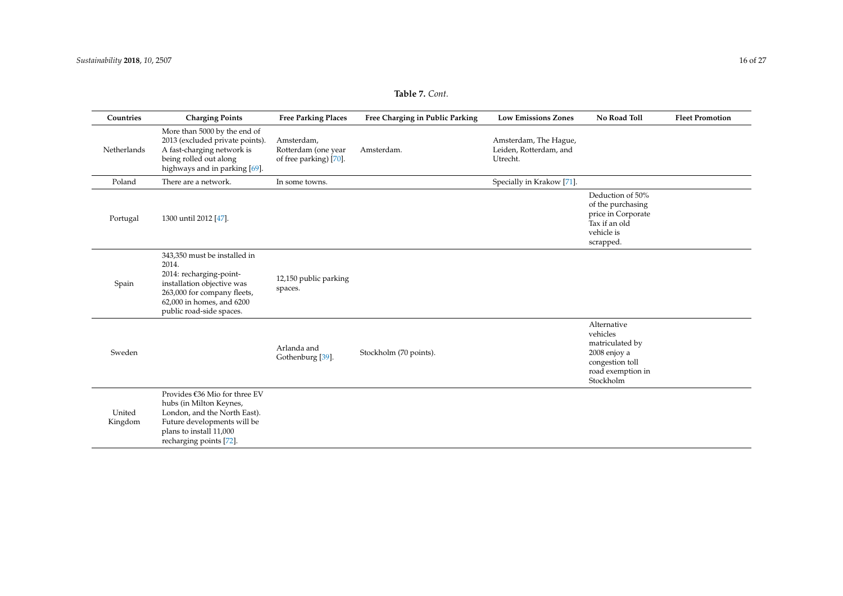| Countries         | <b>Charging Points</b>                                                                                                                                                                 | <b>Free Parking Places</b>                                  | Free Charging in Public Parking | <b>Low Emissions Zones</b>                                  | No Road Toll                                                                                                    | <b>Fleet Promotion</b> |
|-------------------|----------------------------------------------------------------------------------------------------------------------------------------------------------------------------------------|-------------------------------------------------------------|---------------------------------|-------------------------------------------------------------|-----------------------------------------------------------------------------------------------------------------|------------------------|
| Netherlands       | More than 5000 by the end of<br>2013 (excluded private points).<br>A fast-charging network is<br>being rolled out along<br>highways and in parking [69].                               | Amsterdam,<br>Rotterdam (one year<br>of free parking) [70]. | Amsterdam.                      | Amsterdam, The Hague,<br>Leiden, Rotterdam, and<br>Utrecht. |                                                                                                                 |                        |
| Poland            | There are a network.                                                                                                                                                                   | In some towns.                                              |                                 | Specially in Krakow [71].                                   |                                                                                                                 |                        |
| Portugal          | 1300 until 2012 [47].                                                                                                                                                                  |                                                             |                                 |                                                             | Deduction of 50%<br>of the purchasing<br>price in Corporate<br>Tax if an old<br>vehicle is<br>scrapped.         |                        |
| Spain             | 343,350 must be installed in<br>2014.<br>2014: recharging-point-<br>installation objective was<br>263,000 for company fleets,<br>62,000 in homes, and 6200<br>public road-side spaces. | 12,150 public parking<br>spaces.                            |                                 |                                                             |                                                                                                                 |                        |
| Sweden            |                                                                                                                                                                                        | Arlanda and<br>Gothenburg [39].                             | Stockholm (70 points).          |                                                             | Alternative<br>vehicles<br>matriculated by<br>2008 enjoy a<br>congestion toll<br>road exemption in<br>Stockholm |                        |
| United<br>Kingdom | Provides €36 Mio for three EV<br>hubs (in Milton Keynes,<br>London, and the North East).<br>Future developments will be<br>plans to install 11,000<br>recharging points [72].          |                                                             |                                 |                                                             |                                                                                                                 |                        |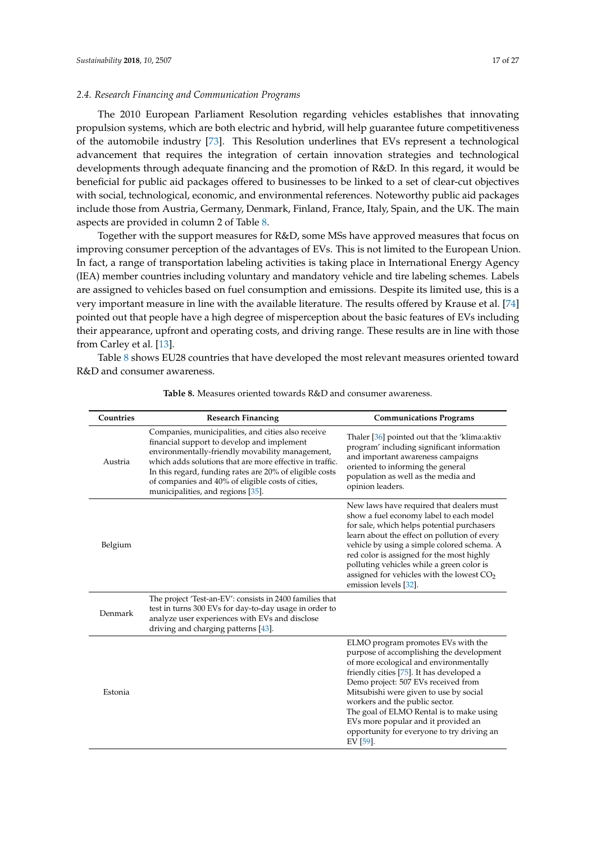## *2.4. Research Financing and Communication Programs*

The 2010 European Parliament Resolution regarding vehicles establishes that innovating propulsion systems, which are both electric and hybrid, will help guarantee future competitiveness of the automobile industry [\[73\]](#page-26-2). This Resolution underlines that EVs represent a technological advancement that requires the integration of certain innovation strategies and technological developments through adequate financing and the promotion of R&D. In this regard, it would be beneficial for public aid packages offered to businesses to be linked to a set of clear-cut objectives with social, technological, economic, and environmental references. Noteworthy public aid packages include those from Austria, Germany, Denmark, Finland, France, Italy, Spain, and the UK. The main aspects are provided in column 2 of Table [8.](#page-16-0)

Together with the support measures for R&D, some MSs have approved measures that focus on improving consumer perception of the advantages of EVs. This is not limited to the European Union. In fact, a range of transportation labeling activities is taking place in International Energy Agency (IEA) member countries including voluntary and mandatory vehicle and tire labeling schemes. Labels are assigned to vehicles based on fuel consumption and emissions. Despite its limited use, this is a very important measure in line with the available literature. The results offered by Krause et al. [\[74\]](#page-26-3) pointed out that people have a high degree of misperception about the basic features of EVs including their appearance, upfront and operating costs, and driving range. These results are in line with those from Carley et al. [\[13\]](#page-22-7).

<span id="page-16-0"></span>Table [8](#page-16-0) shows EU28 countries that have developed the most relevant measures oriented toward R&D and consumer awareness.

| Countries | <b>Research Financing</b>                                                                                                                                                                                                                                                                                                                                            | <b>Communications Programs</b>                                                                                                                                                                                                                                                                                                                                                                                                          |
|-----------|----------------------------------------------------------------------------------------------------------------------------------------------------------------------------------------------------------------------------------------------------------------------------------------------------------------------------------------------------------------------|-----------------------------------------------------------------------------------------------------------------------------------------------------------------------------------------------------------------------------------------------------------------------------------------------------------------------------------------------------------------------------------------------------------------------------------------|
| Austria   | Companies, municipalities, and cities also receive<br>financial support to develop and implement<br>environmentally-friendly movability management,<br>which adds solutions that are more effective in traffic.<br>In this regard, funding rates are 20% of eligible costs<br>of companies and 40% of eligible costs of cities,<br>municipalities, and regions [35]. | Thaler [36] pointed out that the 'klima: aktiv<br>program' including significant information<br>and important awareness campaigns<br>oriented to informing the general<br>population as well as the media and<br>opinion leaders.                                                                                                                                                                                                       |
| Belgium   |                                                                                                                                                                                                                                                                                                                                                                      | New laws have required that dealers must<br>show a fuel economy label to each model<br>for sale, which helps potential purchasers<br>learn about the effect on pollution of every<br>vehicle by using a simple colored schema. A<br>red color is assigned for the most highly<br>polluting vehicles while a green color is<br>assigned for vehicles with the lowest $CO2$<br>emission levels [32].                                      |
| Denmark   | The project 'Test-an-EV': consists in 2400 families that<br>test in turns 300 EVs for day-to-day usage in order to<br>analyze user experiences with EVs and disclose<br>driving and charging patterns [43].                                                                                                                                                          |                                                                                                                                                                                                                                                                                                                                                                                                                                         |
| Estonia   |                                                                                                                                                                                                                                                                                                                                                                      | ELMO program promotes EVs with the<br>purpose of accomplishing the development<br>of more ecological and environmentally<br>friendly cities [75]. It has developed a<br>Demo project: 507 EVs received from<br>Mitsubishi were given to use by social<br>workers and the public sector.<br>The goal of ELMO Rental is to make using<br>EVs more popular and it provided an<br>opportunity for everyone to try driving an<br>EV $[59]$ . |

**Table 8.** Measures oriented towards R&D and consumer awareness.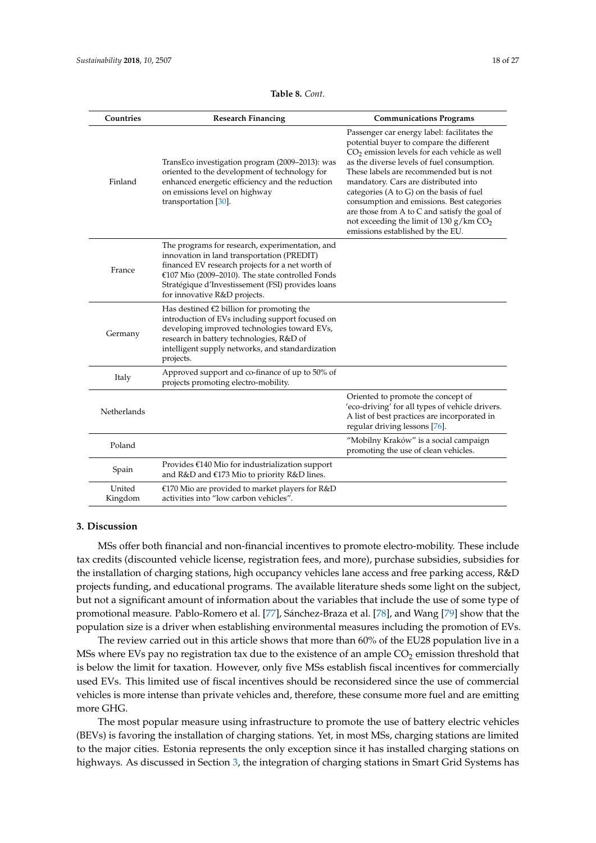| Countries         | <b>Research Financing</b>                                                                                                                                                                                                                                                                  | <b>Communications Programs</b>                                                                                                                                                                                                                                                                                                                                                                                                                                                                                    |
|-------------------|--------------------------------------------------------------------------------------------------------------------------------------------------------------------------------------------------------------------------------------------------------------------------------------------|-------------------------------------------------------------------------------------------------------------------------------------------------------------------------------------------------------------------------------------------------------------------------------------------------------------------------------------------------------------------------------------------------------------------------------------------------------------------------------------------------------------------|
| Finland           | TransEco investigation program (2009–2013): was<br>oriented to the development of technology for<br>enhanced energetic efficiency and the reduction<br>on emissions level on highway<br>transportation $[30]$ .                                                                            | Passenger car energy label: facilitates the<br>potential buyer to compare the different<br>$CO2$ emission levels for each vehicle as well<br>as the diverse levels of fuel consumption.<br>These labels are recommended but is not<br>mandatory. Cars are distributed into<br>categories $(A \text{ to } G)$ on the basis of fuel<br>consumption and emissions. Best categories<br>are those from A to C and satisfy the goal of<br>not exceeding the limit of 130 $g/km CO2$<br>emissions established by the EU. |
| France            | The programs for research, experimentation, and<br>innovation in land transportation (PREDIT)<br>financed EV research projects for a net worth of<br>€107 Mio (2009-2010). The state controlled Fonds<br>Stratégique d'Investissement (FSI) provides loans<br>for innovative R&D projects. |                                                                                                                                                                                                                                                                                                                                                                                                                                                                                                                   |
| Germany           | Has destined $E2$ billion for promoting the<br>introduction of EVs including support focused on<br>developing improved technologies toward EVs,<br>research in battery technologies, R&D of<br>intelligent supply networks, and standardization<br>projects.                               |                                                                                                                                                                                                                                                                                                                                                                                                                                                                                                                   |
| Italy             | Approved support and co-finance of up to 50% of<br>projects promoting electro-mobility.                                                                                                                                                                                                    |                                                                                                                                                                                                                                                                                                                                                                                                                                                                                                                   |
| Netherlands       |                                                                                                                                                                                                                                                                                            | Oriented to promote the concept of<br>'eco-driving' for all types of vehicle drivers.<br>A list of best practices are incorporated in<br>regular driving lessons [76].                                                                                                                                                                                                                                                                                                                                            |
| Poland            |                                                                                                                                                                                                                                                                                            | "Mobilny Kraków" is a social campaign<br>promoting the use of clean vehicles.                                                                                                                                                                                                                                                                                                                                                                                                                                     |
| Spain             | Provides $\epsilon$ 140 Mio for industrialization support<br>and R&D and €173 Mio to priority R&D lines.                                                                                                                                                                                   |                                                                                                                                                                                                                                                                                                                                                                                                                                                                                                                   |
| United<br>Kingdom | €170 Mio are provided to market players for $R&D$<br>activities into "low carbon vehicles".                                                                                                                                                                                                |                                                                                                                                                                                                                                                                                                                                                                                                                                                                                                                   |

#### **Table 8.** *Cont.*

#### <span id="page-17-0"></span>**3. Discussion**

MSs offer both financial and non-financial incentives to promote electro-mobility. These include tax credits (discounted vehicle license, registration fees, and more), purchase subsidies, subsidies for the installation of charging stations, high occupancy vehicles lane access and free parking access, R&D projects funding, and educational programs. The available literature sheds some light on the subject, but not a significant amount of information about the variables that include the use of some type of promotional measure. Pablo-Romero et al. [\[77\]](#page-26-6), Sánchez-Braza et al. [\[78\]](#page-26-7), and Wang [\[79\]](#page-26-8) show that the population size is a driver when establishing environmental measures including the promotion of EVs.

The review carried out in this article shows that more than 60% of the EU28 population live in a MSs where EVs pay no registration tax due to the existence of an ample  $CO<sub>2</sub>$  emission threshold that is below the limit for taxation. However, only five MSs establish fiscal incentives for commercially used EVs. This limited use of fiscal incentives should be reconsidered since the use of commercial vehicles is more intense than private vehicles and, therefore, these consume more fuel and are emitting more GHG.

The most popular measure using infrastructure to promote the use of battery electric vehicles (BEVs) is favoring the installation of charging stations. Yet, in most MSs, charging stations are limited to the major cities. Estonia represents the only exception since it has installed charging stations on highways. As discussed in Section [3,](#page-17-0) the integration of charging stations in Smart Grid Systems has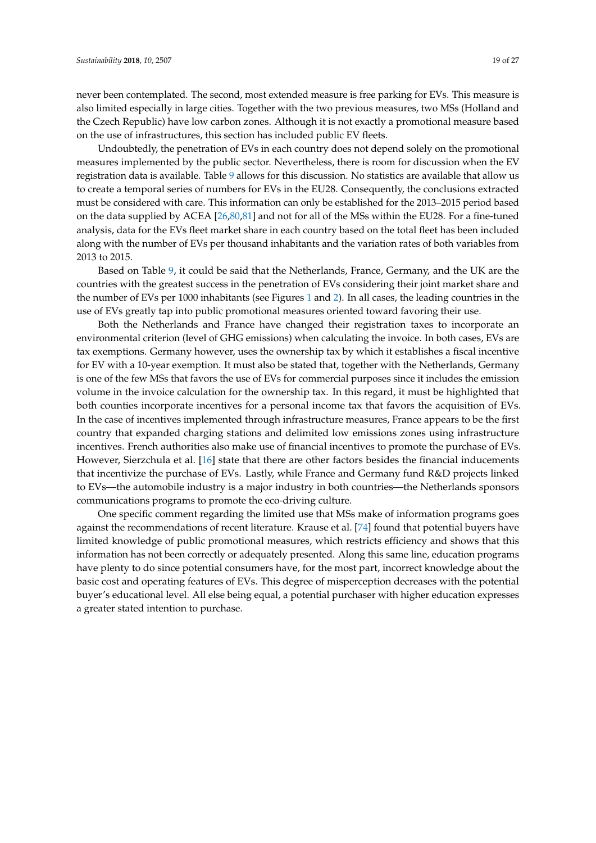never been contemplated. The second, most extended measure is free parking for EVs. This measure is also limited especially in large cities. Together with the two previous measures, two MSs (Holland and the Czech Republic) have low carbon zones. Although it is not exactly a promotional measure based on the use of infrastructures, this section has included public EV fleets.

Undoubtedly, the penetration of EVs in each country does not depend solely on the promotional measures implemented by the public sector. Nevertheless, there is room for discussion when the EV registration data is available. Table [9](#page-19-0) allows for this discussion. No statistics are available that allow us to create a temporal series of numbers for EVs in the EU28. Consequently, the conclusions extracted must be considered with care. This information can only be established for the 2013–2015 period based on the data supplied by ACEA [\[26](#page-23-0)[,80,](#page-26-9)[81\]](#page-26-10) and not for all of the MSs within the EU28. For a fine-tuned analysis, data for the EVs fleet market share in each country based on the total fleet has been included along with the number of EVs per thousand inhabitants and the variation rates of both variables from 2013 to 2015.

Based on Table [9,](#page-19-0) it could be said that the Netherlands, France, Germany, and the UK are the countries with the greatest success in the penetration of EVs considering their joint market share and the number of EVs per 1000 inhabitants (see Figures [1](#page-20-1) and [2\)](#page-20-2). In all cases, the leading countries in the use of EVs greatly tap into public promotional measures oriented toward favoring their use.

Both the Netherlands and France have changed their registration taxes to incorporate an environmental criterion (level of GHG emissions) when calculating the invoice. In both cases, EVs are tax exemptions. Germany however, uses the ownership tax by which it establishes a fiscal incentive for EV with a 10-year exemption. It must also be stated that, together with the Netherlands, Germany is one of the few MSs that favors the use of EVs for commercial purposes since it includes the emission volume in the invoice calculation for the ownership tax. In this regard, it must be highlighted that both counties incorporate incentives for a personal income tax that favors the acquisition of EVs. In the case of incentives implemented through infrastructure measures, France appears to be the first country that expanded charging stations and delimited low emissions zones using infrastructure incentives. French authorities also make use of financial incentives to promote the purchase of EVs. However, Sierzchula et al. [\[16\]](#page-22-10) state that there are other factors besides the financial inducements that incentivize the purchase of EVs. Lastly, while France and Germany fund R&D projects linked to EVs—the automobile industry is a major industry in both countries—the Netherlands sponsors communications programs to promote the eco-driving culture.

One specific comment regarding the limited use that MSs make of information programs goes against the recommendations of recent literature. Krause et al. [\[74\]](#page-26-3) found that potential buyers have limited knowledge of public promotional measures, which restricts efficiency and shows that this information has not been correctly or adequately presented. Along this same line, education programs have plenty to do since potential consumers have, for the most part, incorrect knowledge about the basic cost and operating features of EVs. This degree of misperception decreases with the potential buyer's educational level. All else being equal, a potential purchaser with higher education expresses a greater stated intention to purchase.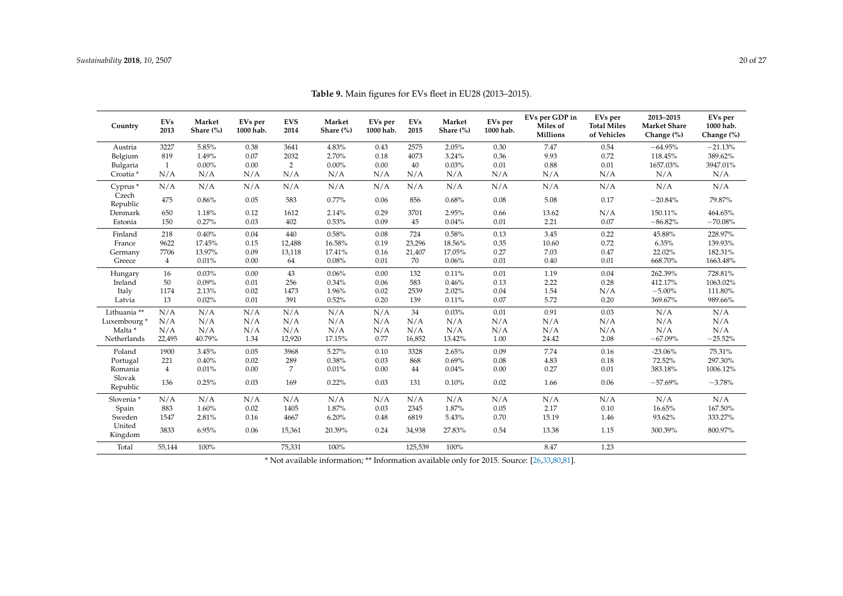<span id="page-19-0"></span>

| Country                 | <b>EVs</b><br>2013 | Market<br>Share (%) | EVs per<br>1000 hab. | <b>EVS</b><br>2014 | Market<br>Share (%) | EVs per<br>1000 hab. | <b>EVs</b><br>2015 | Market<br>Share (%) | EVs per<br>1000 hab. | EVs per GDP in<br>Miles of<br><b>Millions</b> | EVs per<br><b>Total Miles</b><br>of Vehicles | 2013-2015<br><b>Market Share</b><br>Change (%) | EVs per<br>1000 hab.<br>Change (%) |
|-------------------------|--------------------|---------------------|----------------------|--------------------|---------------------|----------------------|--------------------|---------------------|----------------------|-----------------------------------------------|----------------------------------------------|------------------------------------------------|------------------------------------|
| Austria                 | 3227               | 5.85%               | 0.38                 | 3641               | 4.83%               | 0.43                 | 2575               | 2.05%               | 0.30                 | 7.47                                          | 0.54                                         | $-64.95%$                                      | $-21.13%$                          |
| Belgium                 | 819                | 1.49%               | 0.07                 | 2032               | 2.70%               | 0.18                 | 4073               | 3.24%               | 0.36                 | 9.93                                          | 0.72                                         | 118.45%                                        | 389.62%                            |
| Bulgaria                | 1                  | $0.00\%$            | 0.00                 | $\overline{2}$     | 0.00%               | 0.00                 | 40                 | 0.03%               | 0.01                 | 0.88                                          | 0.01                                         | 1657.03%                                       | 3947.01%                           |
| Croatia <sup>*</sup>    | N/A                | N/A                 | N/A                  | N/A                | N/A                 | N/A                  | N/A                | N/A                 | N/A                  | N/A                                           | N/A                                          | N/A                                            | N/A                                |
| Cyprus*                 | N/A                | N/A                 | N/A                  | N/A                | N/A                 | N/A                  | N/A                | N/A                 | N/A                  | N/A                                           | N/A                                          | N/A                                            | N/A                                |
| Czech<br>Republic       | 475                | 0.86%               | 0.05                 | 583                | $0.77\%$            | 0.06                 | 856                | 0.68%               | 0.08                 | 5.08                                          | 0.17                                         | $-20.84%$                                      | 79.87%                             |
| Denmark                 | 650                | 1.18%               | 0.12                 | 1612               | 2.14%               | 0.29                 | 3701               | 2.95%               | 0.66                 | 13.62                                         | N/A                                          | 150.11%                                        | 464.65%                            |
| Estonia                 | 150                | 0.27%               | 0.03                 | 402                | 0.53%               | 0.09                 | 45                 | 0.04%               | 0.01                 | 2.21                                          | 0.07                                         | $-86.82%$                                      | $-70.08%$                          |
| Finland                 | 218                | 0.40%               | 0.04                 | 440                | 0.58%               | 0.08                 | 724                | 0.58%               | 0.13                 | 3.45                                          | 0.22                                         | 45.88%                                         | 228.97%                            |
| France                  | 9622               | 17.45%              | 0.15                 | 12,488             | 16.58%              | 0.19                 | 23,296             | 18.56%              | 0.35                 | 10.60                                         | 0.72                                         | 6.35%                                          | 139.93%                            |
| Germany                 | 7706               | 13.97%              | 0.09                 | 13,118             | 17.41%              | 0.16                 | 21,407             | 17.05%              | 0.27                 | 7.03                                          | 0.47                                         | 22.02%                                         | 182.31%                            |
| Greece                  | $\overline{4}$     | 0.01%               | 0.00                 | 64                 | 0.08%               | 0.01                 | 70                 | 0.06%               | 0.01                 | 0.40                                          | 0.01                                         | 668.70%                                        | 1663.48%                           |
| Hungary                 | 16                 | 0.03%               | 0.00                 | 43                 | 0.06%               | 0.00                 | 132                | 0.11%               | 0.01                 | 1.19                                          | 0.04                                         | 262.39%                                        | 728.81%                            |
| Ireland                 | 50                 | 0.09%               | 0.01                 | 256                | 0.34%               | 0.06                 | 583                | 0.46%               | 0.13                 | 2.22                                          | 0.28                                         | 412.17%                                        | 1063.02%                           |
| Italy                   | 1174               | 2.13%               | 0.02                 | 1473               | 1.96%               | 0.02                 | 2539               | 2.02%               | 0.04                 | 1.54                                          | N/A                                          | $-5.00%$                                       | 111.80%                            |
| Latvia                  | 13                 | 0.02%               | 0.01                 | 391                | 0.52%               | 0.20                 | 139                | 0.11%               | 0.07                 | 5.72                                          | 0.20                                         | 369.67%                                        | 989.66%                            |
| Lithuania **            | N/A                | N/A                 | N/A                  | N/A                | N/A                 | N/A                  | 34                 | 0.03%               | 0.01                 | 0.91                                          | 0.03                                         | N/A                                            | N/A                                |
| Luxembourg <sup>*</sup> | N/A                | N/A                 | N/A                  | N/A                | N/A                 | N/A                  | N/A                | N/A                 | N/A                  | N/A                                           | N/A                                          | N/A                                            | N/A                                |
| Malta *                 | N/A                | N/A                 | N/A                  | N/A                | N/A                 | N/A                  | N/A                | N/A                 | N/A                  | N/A                                           | N/A                                          | N/A                                            | N/A                                |
| Netherlands             | 22,495             | 40.79%              | 1.34                 | 12,920             | 17.15%              | 0.77                 | 16,852             | 13.42%              | 1.00                 | 24.42                                         | 2.08                                         | $-67.09%$                                      | $-25.52%$                          |
| Poland                  | 1900               | 3.45%               | 0.05                 | 3968               | 5.27%               | 0.10                 | 3328               | 2.65%               | 0.09                 | 7.74                                          | 0.16                                         | $-23.06%$                                      | 75.31%                             |
| Portugal                | 221                | 0.40%               | 0.02                 | 289                | 0.38%               | 0.03                 | 868                | 0.69%               | 0.08                 | 4.83                                          | 0.18                                         | 72.52%                                         | 297.30%                            |
| Romania                 | $\overline{4}$     | 0.01%               | 0.00                 | 7                  | 0.01%               | 0.00                 | 44                 | 0.04%               | 0.00                 | 0.27                                          | 0.01                                         | 383.18%                                        | 1006.12%                           |
| Slovak<br>Republic      | 136                | 0.25%               | 0.03                 | 169                | 0.22%               | 0.03                 | 131                | 0.10%               | 0.02                 | 1.66                                          | 0.06                                         | $-57.69%$                                      | $-3.78%$                           |
| Slovenia *              | N/A                | N/A                 | N/A                  | N/A                | N/A                 | N/A                  | N/A                | N/A                 | N/A                  | N/A                                           | N/A                                          | N/A                                            | N/A                                |
| Spain                   | 883                | 1.60%               | 0.02                 | 1405               | 1.87%               | 0.03                 | 2345               | 1.87%               | 0.05                 | 2.17                                          | 0.10                                         | 16.65%                                         | 167.50%                            |
| Sweden                  | 1547               | 2.81%               | 0.16                 | 4667               | 6.20%               | 0.48                 | 6819               | 5.43%               | 0.70                 | 15.19                                         | 1.46                                         | 93.62%                                         | 333.27%                            |
| United<br>Kingdom       | 3833               | 6.95%               | 0.06                 | 15,361             | 20.39%              | 0.24                 | 34,938             | 27.83%              | 0.54                 | 13.38                                         | 1.15                                         | 300.39%                                        | 800.97%                            |
| Total                   | 55,144             | 100%                |                      | 75,331             | 100%                |                      | 125,539            | 100%                |                      | 8.47                                          | 1.23                                         |                                                |                                    |

**Table 9.** Main figures for EVs fleet in EU28 (2013–2015).

\* Not available information; \*\* Information available only for 2015. Source: [\[26](#page-23-5)[,33](#page-23-18)[,80](#page-26-11)[,81\]](#page-26-12).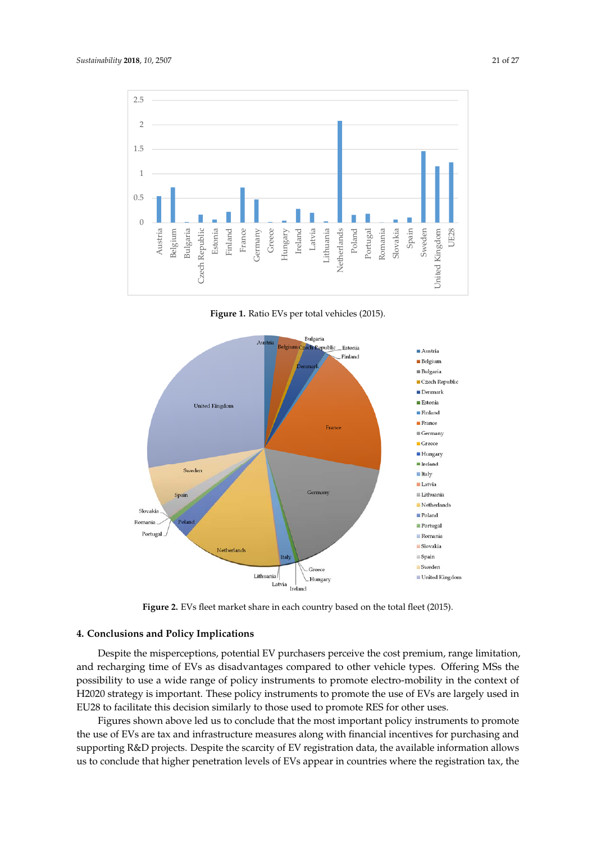<span id="page-20-1"></span>

**Figure 1.** Ratio EVs per total vehicles (2015). **Figure 1.** Ratio EVs per total vehicles (2015). **Figure 1.** Ratio EVs per total vehicles (2015).

<span id="page-20-2"></span>

**Figure 2.** EVs fleet market share in each country based on the total fleet (2015). **Figure 2.** EVs fleet market share in each country based on the total fleet (2015).

#### <span id="page-20-0"></span> $\mathbf{P}_{\text{max}}$ **4. Conclusions and Policy Implications 4. Conclusions and Policy Implications**

Despite the misperceptions, potential EV purchasers perceive the cost premium, range limitation, and recharging time of EVs as disadvantages compared to other vehicle types. Offering MSs the  $\frac{1}{2}$  is integral strategy in the use policy instruments to promote electro-mobility in the contention of the use a wide range of policy instruments to promote electro-mobility in the conte  $\frac{1}{20}$  strategy is important. These policy instruments to promote the use of  $\frac{E}{E}$  are largely use.  $\frac{6}{100}$  for the decision above led us the most important policy instruments to promote policy instruments to promote policy instruments to promote policy instruments to promote policy instruments. the use of EVs are tax and infrastructure measures and increase for producture measures for the purchasing the possibility to use a wide range of policy instruments to promote electro-mobility in the context of<br>Procession in the use a wide range of policy instruments to promote electro-mobility in the context of H2020 strategy is important. These policy instruments to promote the use of EVs are largely used in EU28 to facilitate this decision similarly to those used to promote RES for other uses.

Figures shown above led us to conclude that the most important policy instruments to promote the use of EVs are tax and infrastructure measures along with financial incentives for purchasing and supporting R&D projects. Despite the scarcity of EV registration data, the available information allows us to conclude that higher penetration levels of EVs appear in countries where the registration tax, the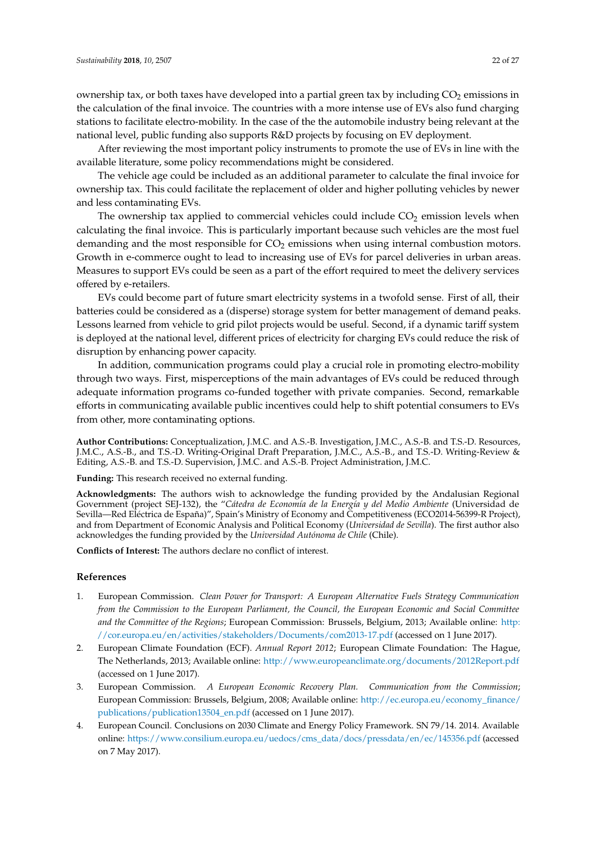ownership tax, or both taxes have developed into a partial green tax by including  $CO<sub>2</sub>$  emissions in the calculation of the final invoice. The countries with a more intense use of EVs also fund charging stations to facilitate electro-mobility. In the case of the the automobile industry being relevant at the national level, public funding also supports R&D projects by focusing on EV deployment.

After reviewing the most important policy instruments to promote the use of EVs in line with the available literature, some policy recommendations might be considered.

The vehicle age could be included as an additional parameter to calculate the final invoice for ownership tax. This could facilitate the replacement of older and higher polluting vehicles by newer and less contaminating EVs.

The ownership tax applied to commercial vehicles could include  $CO<sub>2</sub>$  emission levels when calculating the final invoice. This is particularly important because such vehicles are the most fuel demanding and the most responsible for  $CO<sub>2</sub>$  emissions when using internal combustion motors. Growth in e-commerce ought to lead to increasing use of EVs for parcel deliveries in urban areas. Measures to support EVs could be seen as a part of the effort required to meet the delivery services offered by e-retailers.

EVs could become part of future smart electricity systems in a twofold sense. First of all, their batteries could be considered as a (disperse) storage system for better management of demand peaks. Lessons learned from vehicle to grid pilot projects would be useful. Second, if a dynamic tariff system is deployed at the national level, different prices of electricity for charging EVs could reduce the risk of disruption by enhancing power capacity.

In addition, communication programs could play a crucial role in promoting electro-mobility through two ways. First, misperceptions of the main advantages of EVs could be reduced through adequate information programs co-funded together with private companies. Second, remarkable efforts in communicating available public incentives could help to shift potential consumers to EVs from other, more contaminating options.

**Author Contributions:** Conceptualization, J.M.C. and A.S.-B. Investigation, J.M.C., A.S.-B. and T.S.-D. Resources, J.M.C., A.S.-B., and T.S.-D. Writing-Original Draft Preparation, J.M.C., A.S.-B., and T.S.-D. Writing-Review & Editing, A.S.-B. and T.S.-D. Supervision, J.M.C. and A.S.-B. Project Administration, J.M.C.

**Funding:** This research received no external funding.

**Acknowledgments:** The authors wish to acknowledge the funding provided by the Andalusian Regional Government (project SEJ-132), the "*Cátedra de Economía de la Energía y del Medio Ambiente* (Universidad de Sevilla—Red Eléctrica de España)", Spain's Ministry of Economy and Competitiveness (ECO2014-56399-R Project), and from Department of Economic Analysis and Political Economy (*Universidad de Sevilla*). The first author also acknowledges the funding provided by the *Universidad Autónoma de Chile* (Chile).

**Conflicts of Interest:** The authors declare no conflict of interest.

## **References**

- <span id="page-21-0"></span>1. European Commission. *Clean Power for Transport: A European Alternative Fuels Strategy Communication from the Commission to the European Parliament, the Council, the European Economic and Social Committee and the Committee of the Regions*; European Commission: Brussels, Belgium, 2013; Available online: [http:](http://cor.europa.eu/en/activities/stakeholders/Documents/com2013-17.pdf) [//cor.europa.eu/en/activities/stakeholders/Documents/com2013-17.pdf](http://cor.europa.eu/en/activities/stakeholders/Documents/com2013-17.pdf) (accessed on 1 June 2017).
- <span id="page-21-1"></span>2. European Climate Foundation (ECF). *Annual Report 2012*; European Climate Foundation: The Hague, The Netherlands, 2013; Available online: <http://www.europeanclimate.org/documents/2012Report.pdf> (accessed on 1 June 2017).
- <span id="page-21-2"></span>3. European Commission. *A European Economic Recovery Plan. Communication from the Commission*; European Commission: Brussels, Belgium, 2008; Available online: [http://ec.europa.eu/economy\\_finance/](http://ec.europa.eu/economy_finance/publications/publication13504_en.pdf) [publications/publication13504\\_en.pdf](http://ec.europa.eu/economy_finance/publications/publication13504_en.pdf) (accessed on 1 June 2017).
- <span id="page-21-3"></span>4. European Council. Conclusions on 2030 Climate and Energy Policy Framework. SN 79/14. 2014. Available online: [https://www.consilium.europa.eu/uedocs/cms\\_data/docs/pressdata/en/ec/145356.pdf](https://www.consilium.europa.eu/uedocs/cms_data/docs/pressdata/en/ec/145356.pdf) (accessed on 7 May 2017).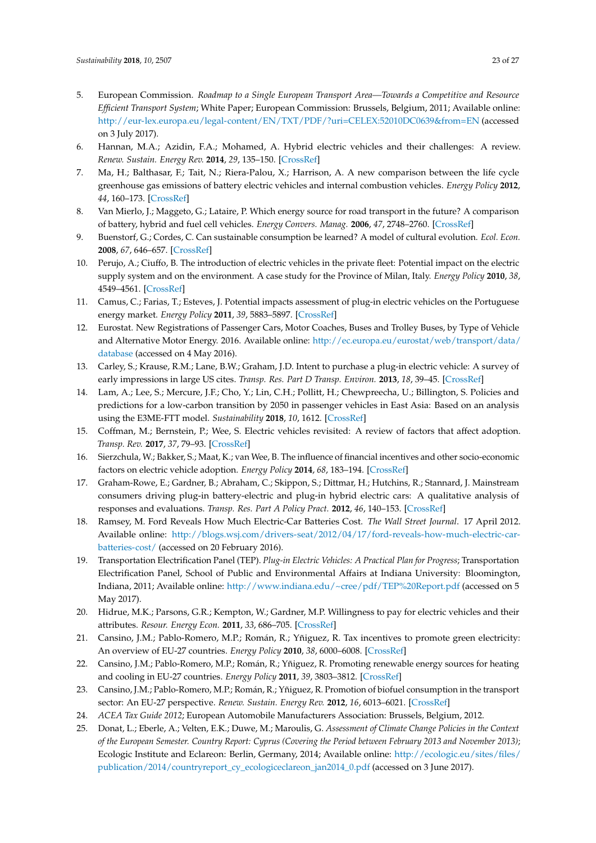- <span id="page-22-0"></span>5. European Commission. *Roadmap to a Single European Transport Area—Towards a Competitive and Resource Efficient Transport System*; White Paper; European Commission: Brussels, Belgium, 2011; Available online: <http://eur-lex.europa.eu/legal-content/EN/TXT/PDF/?uri=CELEX:52010DC0639&from=EN> (accessed on 3 July 2017).
- <span id="page-22-1"></span>6. Hannan, M.A.; Azidin, F.A.; Mohamed, A. Hybrid electric vehicles and their challenges: A review. *Renew. Sustain. Energy Rev.* **2014**, *29*, 135–150. [\[CrossRef\]](http://dx.doi.org/10.1016/j.rser.2013.08.097)
- 7. Ma, H.; Balthasar, F.; Tait, N.; Riera-Palou, X.; Harrison, A. A new comparison between the life cycle greenhouse gas emissions of battery electric vehicles and internal combustion vehicles. *Energy Policy* **2012**, *44*, 160–173. [\[CrossRef\]](http://dx.doi.org/10.1016/j.enpol.2012.01.034)
- <span id="page-22-2"></span>8. Van Mierlo, J.; Maggeto, G.; Lataire, P. Which energy source for road transport in the future? A comparison of battery, hybrid and fuel cell vehicles. *Energy Convers. Manag.* **2006**, *47*, 2748–2760. [\[CrossRef\]](http://dx.doi.org/10.1016/j.enconman.2006.02.004)
- <span id="page-22-3"></span>9. Buenstorf, G.; Cordes, C. Can sustainable consumption be learned? A model of cultural evolution. *Ecol. Econ.* **2008**, *67*, 646–657. [\[CrossRef\]](http://dx.doi.org/10.1016/j.ecolecon.2008.01.028)
- <span id="page-22-4"></span>10. Perujo, A.; Ciuffo, B. The introduction of electric vehicles in the private fleet: Potential impact on the electric supply system and on the environment. A case study for the Province of Milan, Italy. *Energy Policy* **2010**, *38*, 4549–4561. [\[CrossRef\]](http://dx.doi.org/10.1016/j.enpol.2010.04.010)
- <span id="page-22-5"></span>11. Camus, C.; Farias, T.; Esteves, J. Potential impacts assessment of plug-in electric vehicles on the Portuguese energy market. *Energy Policy* **2011**, *39*, 5883–5897. [\[CrossRef\]](http://dx.doi.org/10.1016/j.enpol.2011.06.042)
- <span id="page-22-6"></span>12. Eurostat. New Registrations of Passenger Cars, Motor Coaches, Buses and Trolley Buses, by Type of Vehicle and Alternative Motor Energy. 2016. Available online: [http://ec.europa.eu/eurostat/web/transport/data/](http://ec.europa.eu/eurostat/web/transport/data/database) [database](http://ec.europa.eu/eurostat/web/transport/data/database) (accessed on 4 May 2016).
- <span id="page-22-7"></span>13. Carley, S.; Krause, R.M.; Lane, B.W.; Graham, J.D. Intent to purchase a plug-in electric vehicle: A survey of early impressions in large US cites. *Transp. Res. Part D Transp. Environ.* **2013**, *18*, 39–45. [\[CrossRef\]](http://dx.doi.org/10.1016/j.trd.2012.09.007)
- <span id="page-22-8"></span>14. Lam, A.; Lee, S.; Mercure, J.F.; Cho, Y.; Lin, C.H.; Pollitt, H.; Chewpreecha, U.; Billington, S. Policies and predictions for a low-carbon transition by 2050 in passenger vehicles in East Asia: Based on an analysis using the E3ME-FTT model. *Sustainability* **2018**, *10*, 1612. [\[CrossRef\]](http://dx.doi.org/10.3390/su10051612)
- <span id="page-22-9"></span>15. Coffman, M.; Bernstein, P.; Wee, S. Electric vehicles revisited: A review of factors that affect adoption. *Transp. Rev.* **2017**, *37*, 79–93. [\[CrossRef\]](http://dx.doi.org/10.1080/01441647.2016.1217282)
- <span id="page-22-17"></span><span id="page-22-10"></span>16. Sierzchula, W.; Bakker, S.; Maat, K.; van Wee, B. The influence of financial incentives and other socio-economic factors on electric vehicle adoption. *Energy Policy* **2014**, *68*, 183–194. [\[CrossRef\]](http://dx.doi.org/10.1016/j.enpol.2014.01.043)
- <span id="page-22-11"></span>17. Graham-Rowe, E.; Gardner, B.; Abraham, C.; Skippon, S.; Dittmar, H.; Hutchins, R.; Stannard, J. Mainstream consumers driving plug-in battery-electric and plug-in hybrid electric cars: A qualitative analysis of responses and evaluations. *Transp. Res. Part A Policy Pract.* **2012**, *46*, 140–153. [\[CrossRef\]](http://dx.doi.org/10.1016/j.tra.2011.09.008)
- 18. Ramsey, M. Ford Reveals How Much Electric-Car Batteries Cost. *The Wall Street Journal*. 17 April 2012. Available online: [http://blogs.wsj.com/drivers-seat/2012/04/17/ford-reveals-how-much-electric-car](http://blogs.wsj.com/drivers-seat/2012/04/17/ford-reveals-how-much-electric-car-batteries-cost/)[batteries-cost/](http://blogs.wsj.com/drivers-seat/2012/04/17/ford-reveals-how-much-electric-car-batteries-cost/) (accessed on 20 February 2016).
- <span id="page-22-12"></span>19. Transportation Electrification Panel (TEP). *Plug-in Electric Vehicles: A Practical Plan for Progress*; Transportation Electrification Panel, School of Public and Environmental Affairs at Indiana University: Bloomington, Indiana, 2011; Available online: <http://www.indiana.edu/~cree/pdf/TEP%20Report.pdf> (accessed on 5 May 2017).
- <span id="page-22-13"></span>20. Hidrue, M.K.; Parsons, G.R.; Kempton, W.; Gardner, M.P. Willingness to pay for electric vehicles and their attributes. *Resour. Energy Econ.* **2011**, *33*, 686–705. [\[CrossRef\]](http://dx.doi.org/10.1016/j.reseneeco.2011.02.002)
- <span id="page-22-14"></span>21. Cansino, J.M.; Pablo-Romero, M.P.; Román, R.; Yñiguez, R. Tax incentives to promote green electricity: An overview of EU-27 countries. *Energy Policy* **2010**, *38*, 6000–6008. [\[CrossRef\]](http://dx.doi.org/10.1016/j.enpol.2010.05.055)
- 22. Cansino, J.M.; Pablo-Romero, M.P.; Román, R.; Yñiguez, R. Promoting renewable energy sources for heating and cooling in EU-27 countries. *Energy Policy* **2011**, *39*, 3803–3812. [\[CrossRef\]](http://dx.doi.org/10.1016/j.enpol.2011.04.010)
- <span id="page-22-15"></span>23. Cansino, J.M.; Pablo-Romero, M.P.; Román, R.; Yñiguez, R. Promotion of biofuel consumption in the transport sector: An EU-27 perspective. *Renew. Sustain. Energy Rev.* **2012**, *16*, 6013–6021. [\[CrossRef\]](http://dx.doi.org/10.1016/j.rser.2012.06.011)
- <span id="page-22-16"></span>24. *ACEA Tax Guide 2012*; European Automobile Manufacturers Association: Brussels, Belgium, 2012.
- 25. Donat, L.; Eberle, A.; Velten, E.K.; Duwe, M.; Maroulis, G. *Assessment of Climate Change Policies in the Context of the European Semester. Country Report: Cyprus (Covering the Period between February 2013 and November 2013)*; Ecologic Institute and Eclareon: Berlin, Germany, 2014; Available online: [http://ecologic.eu/sites/files/](http://ecologic.eu/sites/files/publication/2014/countryreport_cy_ecologiceclareon_jan2014_0.pdf) [publication/2014/countryreport\\_cy\\_ecologiceclareon\\_jan2014\\_0.pdf](http://ecologic.eu/sites/files/publication/2014/countryreport_cy_ecologiceclareon_jan2014_0.pdf) (accessed on 3 June 2017).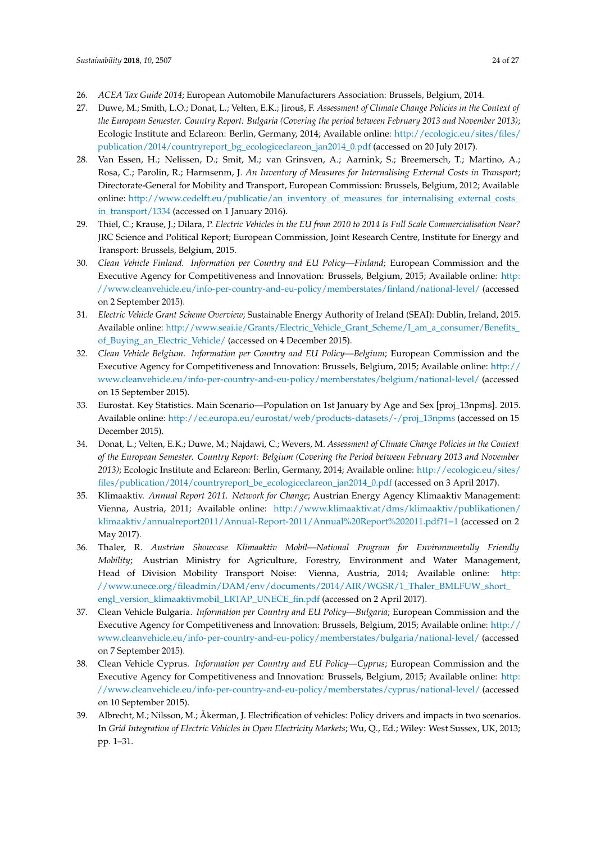- <span id="page-23-6"></span><span id="page-23-5"></span><span id="page-23-4"></span><span id="page-23-3"></span><span id="page-23-2"></span><span id="page-23-1"></span><span id="page-23-0"></span>26. *ACEA Tax Guide 2014*; European Automobile Manufacturers Association: Brussels, Belgium, 2014.
- 27. Duwe, M.; Smith, L.O.; Donat, L.; Velten, E.K.; Jirouš, F. *Assessment of Climate Change Policies in the Context of the European Semester. Country Report: Bulgaria (Covering the period between February 2013 and November 2013)*; Ecologic Institute and Eclareon: Berlin, Germany, 2014; Available online: [http://ecologic.eu/sites/files/](http://ecologic.eu/sites/files/publication/2014/countryreport_bg_ecologiceclareon_jan2014_0.pdf) [publication/2014/countryreport\\_bg\\_ecologiceclareon\\_jan2014\\_0.pdf](http://ecologic.eu/sites/files/publication/2014/countryreport_bg_ecologiceclareon_jan2014_0.pdf) (accessed on 20 July 2017).
- <span id="page-23-18"></span>28. Van Essen, H.; Nelissen, D.; Smit, M.; van Grinsven, A.; Aarnink, S.; Breemersch, T.; Martino, A.; Rosa, C.; Parolin, R.; Harmsenm, J. *An Inventory of Measures for Internalising External Costs in Transport*; Directorate-General for Mobility and Transport, European Commission: Brussels, Belgium, 2012; Available online: [http://www.cedelft.eu/publicatie/an\\_inventory\\_of\\_measures\\_for\\_internalising\\_external\\_costs\\_](http://www.cedelft.eu/publicatie/an_inventory_of_measures_for_internalising_external_costs_in_transport/1334) [in\\_transport/1334](http://www.cedelft.eu/publicatie/an_inventory_of_measures_for_internalising_external_costs_in_transport/1334) (accessed on 1 January 2016).
- <span id="page-23-10"></span>29. Thiel, C.; Krause, J.; Dilara, P. *Electric Vehicles in the EU from 2010 to 2014 Is Full Scale Commercialisation Near?* JRC Science and Political Report; European Commission, Joint Research Centre, Institute for Energy and Transport: Brussels, Belgium, 2015.
- <span id="page-23-17"></span>30. *Clean Vehicle Finland. Information per Country and EU Policy—Finland*; European Commission and the Executive Agency for Competitiveness and Innovation: Brussels, Belgium, 2015; Available online: [http:](http://www.cleanvehicle.eu/info-per-country-and-eu-policy/member states/finland/national-level/) [//www.cleanvehicle.eu/info-per-country-and-eu-policy/memberstates/finland/national-level/](http://www.cleanvehicle.eu/info-per-country-and-eu-policy/member states/finland/national-level/) (accessed on 2 September 2015).
- <span id="page-23-11"></span>31. *Electric Vehicle Grant Scheme Overview*; Sustainable Energy Authority of Ireland (SEAI): Dublin, Ireland, 2015. Available online: [http://www.seai.ie/Grants/Electric\\_Vehicle\\_Grant\\_Scheme/I\\_am\\_a\\_consumer/Benefits\\_](http://www.seai.ie/Grants/Electric_Vehicle_Grant_Scheme/I_am_a_consumer/Benefits_of_Buying_an_Electric_Vehicle/) [of\\_Buying\\_an\\_Electric\\_Vehicle/](http://www.seai.ie/Grants/Electric_Vehicle_Grant_Scheme/I_am_a_consumer/Benefits_of_Buying_an_Electric_Vehicle/) (accessed on 4 December 2015).
- <span id="page-23-12"></span><span id="page-23-7"></span>32. *Clean Vehicle Belgium. Information per Country and EU Policy—Belgium*; European Commission and the Executive Agency for Competitiveness and Innovation: Brussels, Belgium, 2015; Available online: [http://](http://www.cleanvehicle.eu/info-per-country-and-eu-policy/member states/belgium/national-level/) [www.cleanvehicle.eu/info-per-country-and-eu-policy/memberstates/belgium/national-level/](http://www.cleanvehicle.eu/info-per-country-and-eu-policy/member states/belgium/national-level/) (accessed on 15 September 2015).
- <span id="page-23-13"></span><span id="page-23-8"></span>33. Eurostat. Key Statistics. Main Scenario—Population on 1st January by Age and Sex [proj\_13npms]. 2015. Available online: [http://ec.europa.eu/eurostat/web/products-datasets/-/proj\\_13npms](http://ec.europa.eu/eurostat/web/products-datasets/-/proj_13npms) (accessed on 15 December 2015).
- <span id="page-23-14"></span><span id="page-23-9"></span>34. Donat, L.; Velten, E.K.; Duwe, M.; Najdawi, C.; Wevers, M. *Assessment of Climate Change Policies in the Context of the European Semester. Country Report: Belgium (Covering the Period between February 2013 and November 2013)*; Ecologic Institute and Eclareon: Berlin, Germany, 2014; Available online: [http://ecologic.eu/sites/](http://ecologic.eu/sites/files/publication/2014/countryreport_be_ecologiceclareon_jan2014_0.pdf) [files/publication/2014/countryreport\\_be\\_ecologiceclareon\\_jan2014\\_0.pdf](http://ecologic.eu/sites/files/publication/2014/countryreport_be_ecologiceclareon_jan2014_0.pdf) (accessed on 3 April 2017).
- <span id="page-23-15"></span>35. Klimaaktiv. *Annual Report 2011. Network for Change*; Austrian Energy Agency Klimaaktiv Management: Vienna, Austria, 2011; Available online: [http://www.klimaaktiv.at/dms/klimaaktiv/publikationen/](http://www.klimaaktiv.at/dms/klimaaktiv/publikationen/klimaaktiv/annualreport2011/Annual-Report-2011/Annual%20Report%202011.pdf?1=1) [klimaaktiv/annualreport2011/Annual-Report-2011/Annual%20Report%202011.pdf?1=1](http://www.klimaaktiv.at/dms/klimaaktiv/publikationen/klimaaktiv/annualreport2011/Annual-Report-2011/Annual%20Report%202011.pdf?1=1) (accessed on 2 May 2017).
- <span id="page-23-16"></span>36. Thaler, R. *Austrian Showcase Klimaaktiv Mobil—National Program for Environmentally Friendly Mobility*; Austrian Ministry for Agriculture, Forestry, Environment and Water Management, Head of Division Mobility Transport Noise: Vienna, Austria, 2014; Available online: [http:](http://www.unece.org/fileadmin/DAM/env/documents/2014/AIR/WGSR/1_Thaler_BMLFUW_short_engl_version_klimaaktivmobil_LRTAP_UNECE_fin.pdf) [//www.unece.org/fileadmin/DAM/env/documents/2014/AIR/WGSR/1\\_Thaler\\_BMLFUW\\_short\\_](http://www.unece.org/fileadmin/DAM/env/documents/2014/AIR/WGSR/1_Thaler_BMLFUW_short_engl_version_klimaaktivmobil_LRTAP_UNECE_fin.pdf) [engl\\_version\\_klimaaktivmobil\\_LRTAP\\_UNECE\\_fin.pdf](http://www.unece.org/fileadmin/DAM/env/documents/2014/AIR/WGSR/1_Thaler_BMLFUW_short_engl_version_klimaaktivmobil_LRTAP_UNECE_fin.pdf) (accessed on 2 April 2017).
- 37. Clean Vehicle Bulgaria. *Information per Country and EU Policy—Bulgaria*; European Commission and the Executive Agency for Competitiveness and Innovation: Brussels, Belgium, 2015; Available online: [http://](http://www.cleanvehicle.eu/info-per-country-and-eu-policy/member states/bulgaria/national-level/) [www.cleanvehicle.eu/info-per-country-and-eu-policy/memberstates/bulgaria/national-level/](http://www.cleanvehicle.eu/info-per-country-and-eu-policy/member states/bulgaria/national-level/) (accessed on 7 September 2015).
- 38. Clean Vehicle Cyprus. *Information per Country and EU Policy—Cyprus*; European Commission and the Executive Agency for Competitiveness and Innovation: Brussels, Belgium, 2015; Available online: [http:](http://www.cleanvehicle.eu/info-per-country-and-eu-policy/member states/cyprus/national-level/) [//www.cleanvehicle.eu/info-per-country-and-eu-policy/memberstates/cyprus/national-level/](http://www.cleanvehicle.eu/info-per-country-and-eu-policy/member states/cyprus/national-level/) (accessed on 10 September 2015).
- 39. Albrecht, M.; Nilsson, M.; Åkerman, J. Electrification of vehicles: Policy drivers and impacts in two scenarios. In *Grid Integration of Electric Vehicles in Open Electricity Markets*; Wu, Q., Ed.; Wiley: West Sussex, UK, 2013; pp. 1–31.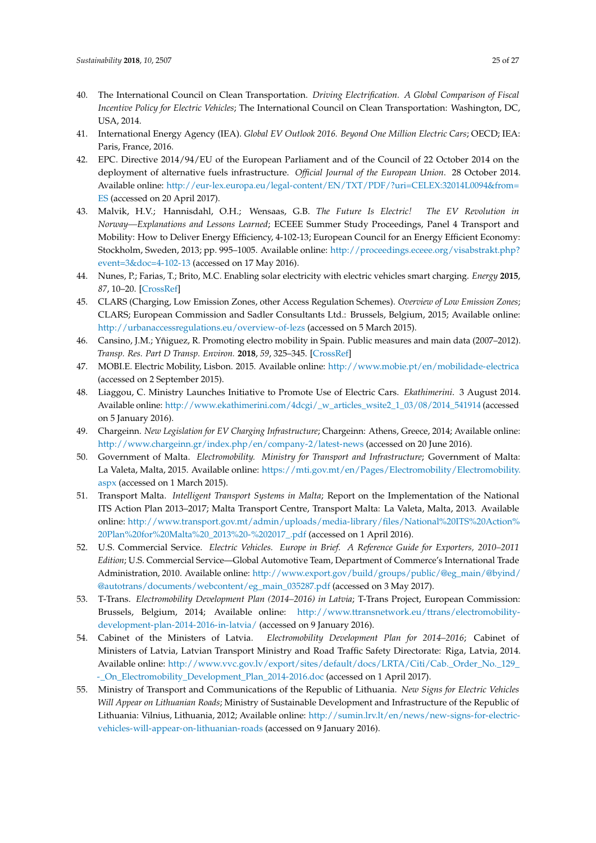- <span id="page-24-17"></span><span id="page-24-16"></span><span id="page-24-1"></span><span id="page-24-0"></span>40. The International Council on Clean Transportation. *Driving Electrification. A Global Comparison of Fiscal Incentive Policy for Electric Vehicles*; The International Council on Clean Transportation: Washington, DC, USA, 2014.
- 41. International Energy Agency (IEA). *Global EV Outlook 2016. Beyond One Million Electric Cars*; OECD; IEA: Paris, France, 2016.
- <span id="page-24-2"></span>42. EPC. Directive 2014/94/EU of the European Parliament and of the Council of 22 October 2014 on the deployment of alternative fuels infrastructure. *Official Journal of the European Union*. 28 October 2014. Available online: [http://eur-lex.europa.eu/legal-content/EN/TXT/PDF/?uri=CELEX:32014L0094&from=](http://eur-lex.europa.eu/legal-content/EN/TXT/PDF/?uri=CELEX:32014L0094&from=ES) [ES](http://eur-lex.europa.eu/legal-content/EN/TXT/PDF/?uri=CELEX:32014L0094&from=ES) (accessed on 20 April 2017).
- <span id="page-24-3"></span>43. Malvik, H.V.; Hannisdahl, O.H.; Wensaas, G.B. *The Future Is Electric! The EV Revolution in Norway—Explanations and Lessons Learned*; ECEEE Summer Study Proceedings, Panel 4 Transport and Mobility: How to Deliver Energy Efficiency, 4-102-13; European Council for an Energy Efficient Economy: Stockholm, Sweden, 2013; pp. 995–1005. Available online: [http://proceedings.eceee.org/visabstrakt.php?](http://proceedings.eceee.org/visabstrakt.php?event=3&doc=4-102-13) [event=3&doc=4-102-13](http://proceedings.eceee.org/visabstrakt.php?event=3&doc=4-102-13) (accessed on 17 May 2016).
- <span id="page-24-4"></span>44. Nunes, P.; Farias, T.; Brito, M.C. Enabling solar electricity with electric vehicles smart charging. *Energy* **2015**, *87*, 10–20. [\[CrossRef\]](http://dx.doi.org/10.1016/j.energy.2015.04.044)
- <span id="page-24-5"></span>45. CLARS (Charging, Low Emission Zones, other Access Regulation Schemes). *Overview of Low Emission Zones*; CLARS; European Commission and Sadler Consultants Ltd.: Brussels, Belgium, 2015; Available online: <http://urbanaccessregulations.eu/overview-of-lezs> (accessed on 5 March 2015).
- <span id="page-24-6"></span>46. Cansino, J.M.; Yñiguez, R. Promoting electro mobility in Spain. Public measures and main data (2007–2012). *Transp. Res. Part D Transp. Environ.* **2018**, *59*, 325–345. [\[CrossRef\]](http://dx.doi.org/10.1016/j.trd.2018.01.022)
- <span id="page-24-7"></span>47. MOBI.E. Electric Mobility, Lisbon. 2015. Available online: <http://www.mobie.pt/en/mobilidade-electrica> (accessed on 2 September 2015).
- <span id="page-24-8"></span>48. Liaggou, C. Ministry Launches Initiative to Promote Use of Electric Cars. *Ekathimerini*. 3 August 2014. Available online: [http://www.ekathimerini.com/4dcgi/\\_w\\_articles\\_wsite2\\_1\\_03/08/2014\\_541914](http://www.ekathimerini.com/4dcgi/_w_articles_wsite2_1_03/08/2014_541914) (accessed on 5 January 2016).
- <span id="page-24-9"></span>49. Chargeinn. *New Legislation for EV Charging Infrastructure*; Chargeinn: Athens, Greece, 2014; Available online: <http://www.chargeinn.gr/index.php/en/company-2/latest-news> (accessed on 20 June 2016).
- <span id="page-24-10"></span>50. Government of Malta. *Electromobility. Ministry for Transport and Infrastructure*; Government of Malta: La Valeta, Malta, 2015. Available online: [https://mti.gov.mt/en/Pages/Electromobility/Electromobility.](https://mti.gov.mt/en/Pages/Electromobility/Electromobility.aspx) [aspx](https://mti.gov.mt/en/Pages/Electromobility/Electromobility.aspx) (accessed on 1 March 2015).
- <span id="page-24-11"></span>51. Transport Malta. *Intelligent Transport Systems in Malta*; Report on the Implementation of the National ITS Action Plan 2013–2017; Malta Transport Centre, Transport Malta: La Valeta, Malta, 2013. Available online: [http://www.transport.gov.mt/admin/uploads/media-library/files/National%20ITS%20Action%](http://www.transport.gov.mt/admin/uploads/media-library/files/National%20ITS%20Action%20Plan%20for%20Malta%20_2013%20-%202017_.pdf) [20Plan%20for%20Malta%20\\_2013%20-%202017\\_.pdf](http://www.transport.gov.mt/admin/uploads/media-library/files/National%20ITS%20Action%20Plan%20for%20Malta%20_2013%20-%202017_.pdf) (accessed on 1 April 2016).
- <span id="page-24-12"></span>52. U.S. Commercial Service. *Electric Vehicles. Europe in Brief. A Reference Guide for Exporters, 2010–2011 Edition*; U.S. Commercial Service—Global Automotive Team, Department of Commerce's International Trade Administration, 2010. Available online: [http://www.export.gov/build/groups/public/@eg\\_main/@byind/](http://www.export.gov/build/groups/public/@eg_main/@byind/@autotrans/documents/webcontent/eg_main_035287.pdf) [@autotrans/documents/webcontent/eg\\_main\\_035287.pdf](http://www.export.gov/build/groups/public/@eg_main/@byind/@autotrans/documents/webcontent/eg_main_035287.pdf) (accessed on 3 May 2017).
- <span id="page-24-13"></span>53. T-Trans. *Electromobility Development Plan (2014–2016) in Latvia*; T-Trans Project, European Commission: Brussels, Belgium, 2014; Available online: [http://www.ttransnetwork.eu/ttrans/electromobility](http://www.ttransnetwork.eu/ttrans/electromobility-development-plan-2014-2016-in-latvia/)[development-plan-2014-2016-in-latvia/](http://www.ttransnetwork.eu/ttrans/electromobility-development-plan-2014-2016-in-latvia/) (accessed on 9 January 2016).
- <span id="page-24-14"></span>54. Cabinet of the Ministers of Latvia. *Electromobility Development Plan for 2014–2016*; Cabinet of Ministers of Latvia, Latvian Transport Ministry and Road Traffic Safety Directorate: Riga, Latvia, 2014. Available online: [http://www.vvc.gov.lv/export/sites/default/docs/LRTA/Citi/Cab.\\_Order\\_No.\\_129\\_](http://www.vvc.gov.lv/export/sites/default/docs/LRTA/Citi/Cab._Order_No._129_-_On_Electromobility_Development_Plan_2014-2016.doc) - On\_Electromobility\_Development\_Plan\_2014-2016.doc (accessed on 1 April 2017).
- <span id="page-24-15"></span>55. Ministry of Transport and Communications of the Republic of Lithuania. *New Signs for Electric Vehicles Will Appear on Lithuanian Roads*; Ministry of Sustainable Development and Infrastructure of the Republic of Lithuania: Vilnius, Lithuania, 2012; Available online: [http://sumin.lrv.lt/en/news/new-signs-for-electric](http://sumin.lrv.lt/en/news/new-signs-for-electric-vehicles-will-appear-on-lithuanian-roads)[vehicles-will-appear-on-lithuanian-roads](http://sumin.lrv.lt/en/news/new-signs-for-electric-vehicles-will-appear-on-lithuanian-roads) (accessed on 9 January 2016).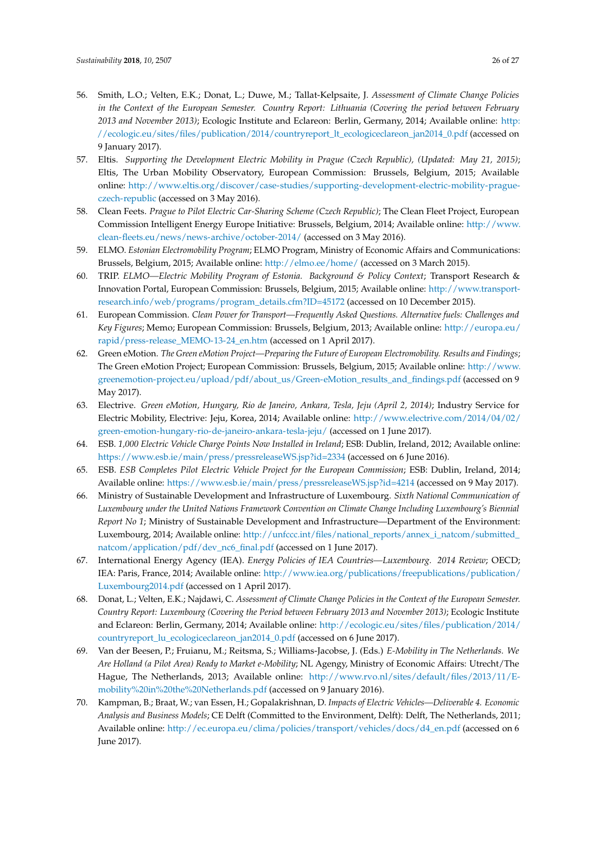- <span id="page-25-6"></span><span id="page-25-5"></span><span id="page-25-4"></span><span id="page-25-3"></span><span id="page-25-2"></span><span id="page-25-1"></span><span id="page-25-0"></span>56. Smith, L.O.; Velten, E.K.; Donat, L.; Duwe, M.; Tallat-Kelpsaite, J. *Assessment of Climate Change Policies in the Context of the European Semester. Country Report: Lithuania (Covering the period between February 2013 and November 2013)*; Ecologic Institute and Eclareon: Berlin, Germany, 2014; Available online: [http:](http://ecologic.eu/sites/files/publication/2014/countryreport_lt_ecologiceclareon_jan2014_0.pdf) [//ecologic.eu/sites/files/publication/2014/countryreport\\_lt\\_ecologiceclareon\\_jan2014\\_0.pdf](http://ecologic.eu/sites/files/publication/2014/countryreport_lt_ecologiceclareon_jan2014_0.pdf) (accessed on 9 January 2017).
- <span id="page-25-7"></span>57. Eltis. *Supporting the Development Electric Mobility in Prague (Czech Republic), (Updated: May 21, 2015)*; Eltis, The Urban Mobility Observatory, European Commission: Brussels, Belgium, 2015; Available online: [http://www.eltis.org/discover/case-studies/supporting-development-electric-mobility-prague](http://www.eltis.org/discover/case-studies/supporting-development-electric-mobility-prague-czech-republic)[czech-republic](http://www.eltis.org/discover/case-studies/supporting-development-electric-mobility-prague-czech-republic) (accessed on 3 May 2016).
- <span id="page-25-9"></span><span id="page-25-8"></span>58. Clean Feets. *Prague to Pilot Electric Car-Sharing Scheme (Czech Republic)*; The Clean Fleet Project, European Commission Intelligent Energy Europe Initiative: Brussels, Belgium, 2014; Available online: [http://www.](http://www.clean-fleets.eu/news/news-archive/october-2014/) [clean-fleets.eu/news/news-archive/october-2014/](http://www.clean-fleets.eu/news/news-archive/october-2014/) (accessed on 3 May 2016).
- <span id="page-25-15"></span><span id="page-25-10"></span>59. ELMO. *Estonian Electromobility Program*; ELMO Program, Ministry of Economic Affairs and Communications: Brussels, Belgium, 2015; Available online: <http://elmo.ee/home/> (accessed on 3 March 2015).
- 60. TRIP. *ELMO—Electric Mobility Program of Estonia. Background & Policy Context*; Transport Research & Innovation Portal, European Commission: Brussels, Belgium, 2015; Available online: [http://www.transport](http://www.transport-research.info/web/programs/program_details.cfm?ID=45172)[research.info/web/programs/program\\_details.cfm?ID=45172](http://www.transport-research.info/web/programs/program_details.cfm?ID=45172) (accessed on 10 December 2015).
- <span id="page-25-11"></span>61. European Commission. *Clean Power for Transport—Frequently Asked Questions. Alternative fuels: Challenges and Key Figures*; Memo; European Commission: Brussels, Belgium, 2013; Available online: [http://europa.eu/](http://europa.eu/rapid/press-release_MEMO-13-24_en.htm) [rapid/press-release\\_MEMO-13-24\\_en.htm](http://europa.eu/rapid/press-release_MEMO-13-24_en.htm) (accessed on 1 April 2017).
- <span id="page-25-12"></span>62. Green eMotion. *The Green eMotion Project—Preparing the Future of European Electromobility. Results and Findings*; The Green eMotion Project; European Commission: Brussels, Belgium, 2015; Available online: [http://www.](http://www.greenemotion-project.eu/upload/pdf/about_us/Green-eMotion_results_and_findings.pdf) [greenemotion-project.eu/upload/pdf/about\\_us/Green-eMotion\\_results\\_and\\_findings.pdf](http://www.greenemotion-project.eu/upload/pdf/about_us/Green-eMotion_results_and_findings.pdf) (accessed on 9 May 2017).
- <span id="page-25-13"></span>63. Electrive. *Green eMotion, Hungary, Rio de Janeiro, Ankara, Tesla, Jeju (April 2, 2014)*; Industry Service for Electric Mobility, Electrive: Jeju, Korea, 2014; Available online: [http://www.electrive.com/2014/04/02/](http://www.electrive.com/2014/04/02/green-emotion-hungary-rio-de-janeiro-ankara-tesla-jeju/) [green-emotion-hungary-rio-de-janeiro-ankara-tesla-jeju/](http://www.electrive.com/2014/04/02/green-emotion-hungary-rio-de-janeiro-ankara-tesla-jeju/) (accessed on 1 June 2017).
- <span id="page-25-14"></span>64. ESB. *1,000 Electric Vehicle Charge Points Now Installed in Ireland*; ESB: Dublin, Ireland, 2012; Available online: <https://www.esb.ie/main/press/pressreleaseWS.jsp?id=2334> (accessed on 6 June 2016).
- 65. ESB. *ESB Completes Pilot Electric Vehicle Project for the European Commission*; ESB: Dublin, Ireland, 2014; Available online: <https://www.esb.ie/main/press/pressreleaseWS.jsp?id=4214> (accessed on 9 May 2017).
- 66. Ministry of Sustainable Development and Infrastructure of Luxembourg. *Sixth National Communication of Luxembourg under the United Nations Framework Convention on Climate Change Including Luxembourg's Biennial Report No 1*; Ministry of Sustainable Development and Infrastructure—Department of the Environment: Luxembourg, 2014; Available online: [http://unfccc.int/files/national\\_reports/annex\\_i\\_natcom/submitted\\_](http://unfccc.int/files/national_reports/annex_i_natcom/submitted_natcom/application/pdf/dev_nc6_final.pdf) [natcom/application/pdf/dev\\_nc6\\_final.pdf](http://unfccc.int/files/national_reports/annex_i_natcom/submitted_natcom/application/pdf/dev_nc6_final.pdf) (accessed on 1 June 2017).
- 67. International Energy Agency (IEA). *Energy Policies of IEA Countries—Luxembourg. 2014 Review*; OECD; IEA: Paris, France, 2014; Available online: [http://www.iea.org/publications/freepublications/publication/](http://www.iea.org/publications/freepublications/publication/Luxembourg2014.pdf) [Luxembourg2014.pdf](http://www.iea.org/publications/freepublications/publication/Luxembourg2014.pdf) (accessed on 1 April 2017).
- 68. Donat, L.; Velten, E.K.; Najdawi, C. *Assessment of Climate Change Policies in the Context of the European Semester. Country Report: Luxembourg (Covering the Period between February 2013 and November 2013)*; Ecologic Institute and Eclareon: Berlin, Germany, 2014; Available online: [http://ecologic.eu/sites/files/publication/2014/](http://ecologic.eu/sites/files/publication/2014/countryreport_lu_ecologiceclareon_jan2014_0.pdf) [countryreport\\_lu\\_ecologiceclareon\\_jan2014\\_0.pdf](http://ecologic.eu/sites/files/publication/2014/countryreport_lu_ecologiceclareon_jan2014_0.pdf) (accessed on 6 June 2017).
- 69. Van der Beesen, P.; Fruianu, M.; Reitsma, S.; Williams-Jacobse, J. (Eds.) *E-Mobility in The Netherlands. We Are Holland (a Pilot Area) Ready to Market e-Mobility*; NL Agengy, Ministry of Economic Affairs: Utrecht/The Hague, The Netherlands, 2013; Available online: [http://www.rvo.nl/sites/default/files/2013/11/E](http://www.rvo.nl/sites/default/files/2013/11/E-mobility%20in%20the%20Netherlands.pdf)[mobility%20in%20the%20Netherlands.pdf](http://www.rvo.nl/sites/default/files/2013/11/E-mobility%20in%20the%20Netherlands.pdf) (accessed on 9 January 2016).
- 70. Kampman, B.; Braat, W.; van Essen, H.; Gopalakrishnan, D. *Impacts of Electric Vehicles—Deliverable 4. Economic Analysis and Business Models*; CE Delft (Committed to the Environment, Delft): Delft, The Netherlands, 2011; Available online: [http://ec.europa.eu/clima/policies/transport/vehicles/docs/d4\\_en.pdf](http://ec.europa.eu/clima/policies/transport/vehicles/docs/d4_en.pdf) (accessed on 6 June 2017).